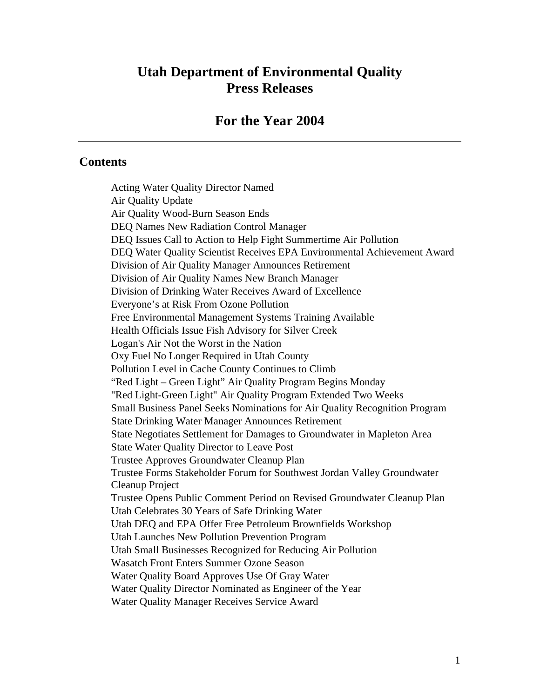# **Utah Department of Environmental Quality Press Releases**

### **For the Year 2004**

#### **Contents**

Acting Water Quality Director Named Air Quality Update Air Quality Wood-Burn Season Ends DEQ Names New Radiation Control Manager DEQ Issues Call to Action to Help Fight Summertime Air Pollution DEQ Water Quality Scientist Receives EPA Environmental Achievement Award Division of Air Quality Manager Announces Retirement Division of Air Quality Names New Branch Manager Division of Drinking Water Receives Award of Excellence Everyone's at Risk From Ozone Pollution Free Environmental Management Systems Training Available Health Officials Issue Fish Advisory for Silver Creek Logan's Air Not the Worst in the Nation Oxy Fuel No Longer Required in Utah County Pollution Level in Cache County Continues to Climb "Red Light – Green Light" Air Quality Program Begins Monday "Red Light-Green Light" Air Quality Program Extended Two Weeks Small Business Panel Seeks Nominations for Air Quality Recognition Program State Drinking Water Manager Announces Retirement State Negotiates Settlement for Damages to Groundwater in Mapleton Area State Water Quality Director to Leave Post Trustee Approves Groundwater Cleanup Plan Trustee Forms Stakeholder Forum for Southwest Jordan Valley Groundwater Cleanup Project Trustee Opens Public Comment Period on Revised Groundwater Cleanup Plan Utah Celebrates 30 Years of Safe Drinking Water Utah DEQ and EPA Offer Free Petroleum Brownfields Workshop Utah Launches New Pollution Prevention Program Utah Small Businesses Recognized for Reducing Air Pollution Wasatch Front Enters Summer Ozone Season Water Quality Board Approves Use Of Gray Water Water Quality Director Nominated as Engineer of the Year Water Quality Manager Receives Service Award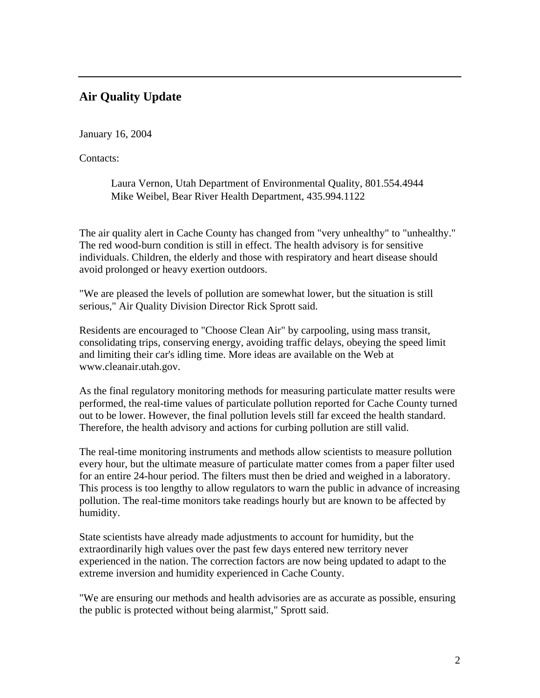## **Air Quality Update**

January 16, 2004

Contacts:

Laura Vernon, Utah Department of Environmental Quality, 801.554.4944 Mike Weibel, Bear River Health Department, 435.994.1122

The air quality alert in Cache County has changed from "very unhealthy" to "unhealthy." The red wood-burn condition is still in effect. The health advisory is for sensitive individuals. Children, the elderly and those with respiratory and heart disease should avoid prolonged or heavy exertion outdoors.

"We are pleased the levels of pollution are somewhat lower, but the situation is still serious," Air Quality Division Director Rick Sprott said.

Residents are encouraged to "Choose Clean Air" by carpooling, using mass transit, consolidating trips, conserving energy, avoiding traffic delays, obeying the speed limit and limiting their car's idling time. More ideas are available on the Web at www.cleanair.utah.gov.

As the final regulatory monitoring methods for measuring particulate matter results were performed, the real-time values of particulate pollution reported for Cache County turned out to be lower. However, the final pollution levels still far exceed the health standard. Therefore, the health advisory and actions for curbing pollution are still valid.

The real-time monitoring instruments and methods allow scientists to measure pollution every hour, but the ultimate measure of particulate matter comes from a paper filter used for an entire 24-hour period. The filters must then be dried and weighed in a laboratory. This process is too lengthy to allow regulators to warn the public in advance of increasing pollution. The real-time monitors take readings hourly but are known to be affected by humidity.

State scientists have already made adjustments to account for humidity, but the extraordinarily high values over the past few days entered new territory never experienced in the nation. The correction factors are now being updated to adapt to the extreme inversion and humidity experienced in Cache County.

"We are ensuring our methods and health advisories are as accurate as possible, ensuring the public is protected without being alarmist," Sprott said.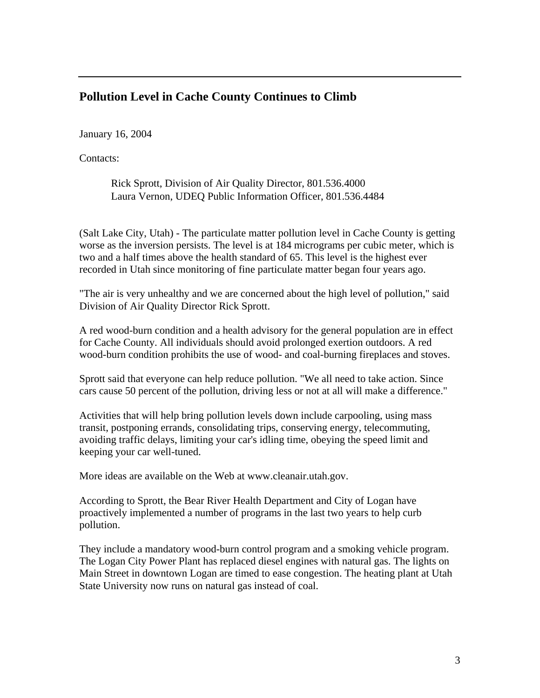### **Pollution Level in Cache County Continues to Climb**

January 16, 2004

Contacts:

Rick Sprott, Division of Air Quality Director, 801.536.4000 Laura Vernon, UDEQ Public Information Officer, 801.536.4484

(Salt Lake City, Utah) - The particulate matter pollution level in Cache County is getting worse as the inversion persists. The level is at 184 micrograms per cubic meter, which is two and a half times above the health standard of 65. This level is the highest ever recorded in Utah since monitoring of fine particulate matter began four years ago.

"The air is very unhealthy and we are concerned about the high level of pollution," said Division of Air Quality Director Rick Sprott.

A red wood-burn condition and a health advisory for the general population are in effect for Cache County. All individuals should avoid prolonged exertion outdoors. A red wood-burn condition prohibits the use of wood- and coal-burning fireplaces and stoves.

Sprott said that everyone can help reduce pollution. "We all need to take action. Since cars cause 50 percent of the pollution, driving less or not at all will make a difference."

Activities that will help bring pollution levels down include carpooling, using mass transit, postponing errands, consolidating trips, conserving energy, telecommuting, avoiding traffic delays, limiting your car's idling time, obeying the speed limit and keeping your car well-tuned.

More ideas are available on the Web at www.cleanair.utah.gov.

According to Sprott, the Bear River Health Department and City of Logan have proactively implemented a number of programs in the last two years to help curb pollution.

They include a mandatory wood-burn control program and a smoking vehicle program. The Logan City Power Plant has replaced diesel engines with natural gas. The lights on Main Street in downtown Logan are timed to ease congestion. The heating plant at Utah State University now runs on natural gas instead of coal.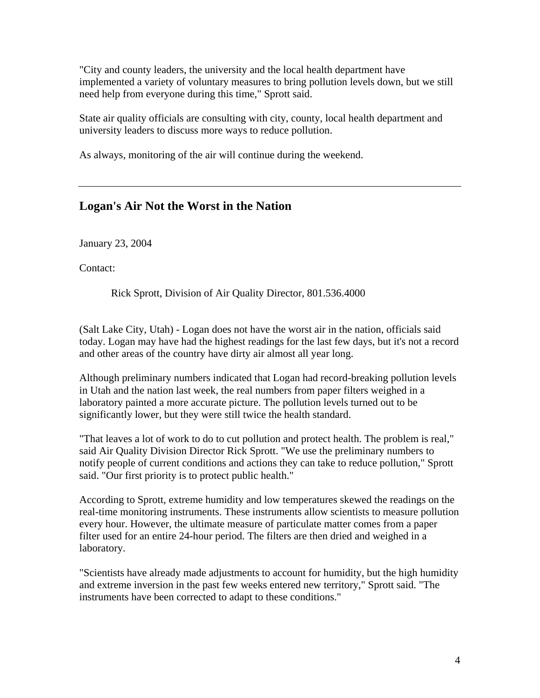"City and county leaders, the university and the local health department have implemented a variety of voluntary measures to bring pollution levels down, but we still need help from everyone during this time," Sprott said.

State air quality officials are consulting with city, county, local health department and university leaders to discuss more ways to reduce pollution.

As always, monitoring of the air will continue during the weekend.

# **Logan's Air Not the Worst in the Nation**

January 23, 2004

Contact:

Rick Sprott, Division of Air Quality Director, 801.536.4000

(Salt Lake City, Utah) - Logan does not have the worst air in the nation, officials said today. Logan may have had the highest readings for the last few days, but it's not a record and other areas of the country have dirty air almost all year long.

Although preliminary numbers indicated that Logan had record-breaking pollution levels in Utah and the nation last week, the real numbers from paper filters weighed in a laboratory painted a more accurate picture. The pollution levels turned out to be significantly lower, but they were still twice the health standard.

"That leaves a lot of work to do to cut pollution and protect health. The problem is real," said Air Quality Division Director Rick Sprott. "We use the preliminary numbers to notify people of current conditions and actions they can take to reduce pollution," Sprott said. "Our first priority is to protect public health."

According to Sprott, extreme humidity and low temperatures skewed the readings on the real-time monitoring instruments. These instruments allow scientists to measure pollution every hour. However, the ultimate measure of particulate matter comes from a paper filter used for an entire 24-hour period. The filters are then dried and weighed in a laboratory.

"Scientists have already made adjustments to account for humidity, but the high humidity and extreme inversion in the past few weeks entered new territory," Sprott said. "The instruments have been corrected to adapt to these conditions."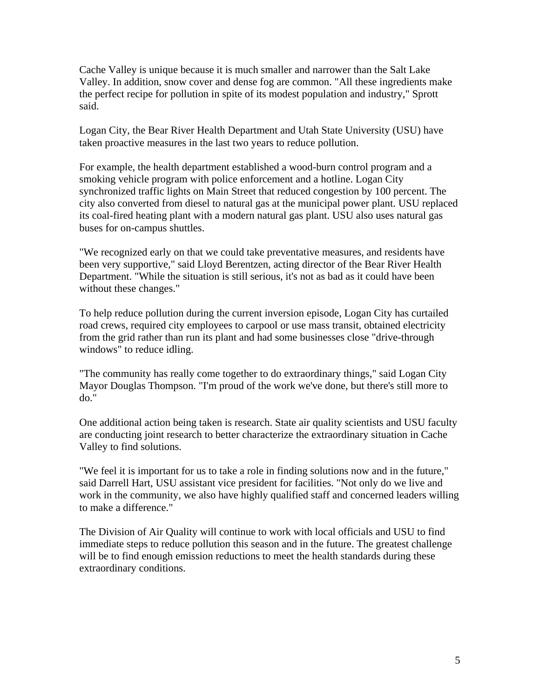Cache Valley is unique because it is much smaller and narrower than the Salt Lake Valley. In addition, snow cover and dense fog are common. "All these ingredients make the perfect recipe for pollution in spite of its modest population and industry," Sprott said.

Logan City, the Bear River Health Department and Utah State University (USU) have taken proactive measures in the last two years to reduce pollution.

For example, the health department established a wood-burn control program and a smoking vehicle program with police enforcement and a hotline. Logan City synchronized traffic lights on Main Street that reduced congestion by 100 percent. The city also converted from diesel to natural gas at the municipal power plant. USU replaced its coal-fired heating plant with a modern natural gas plant. USU also uses natural gas buses for on-campus shuttles.

"We recognized early on that we could take preventative measures, and residents have been very supportive," said Lloyd Berentzen, acting director of the Bear River Health Department. "While the situation is still serious, it's not as bad as it could have been without these changes."

To help reduce pollution during the current inversion episode, Logan City has curtailed road crews, required city employees to carpool or use mass transit, obtained electricity from the grid rather than run its plant and had some businesses close "drive-through windows" to reduce idling.

"The community has really come together to do extraordinary things," said Logan City Mayor Douglas Thompson. "I'm proud of the work we've done, but there's still more to do."

One additional action being taken is research. State air quality scientists and USU faculty are conducting joint research to better characterize the extraordinary situation in Cache Valley to find solutions.

"We feel it is important for us to take a role in finding solutions now and in the future," said Darrell Hart, USU assistant vice president for facilities. "Not only do we live and work in the community, we also have highly qualified staff and concerned leaders willing to make a difference."

The Division of Air Quality will continue to work with local officials and USU to find immediate steps to reduce pollution this season and in the future. The greatest challenge will be to find enough emission reductions to meet the health standards during these extraordinary conditions.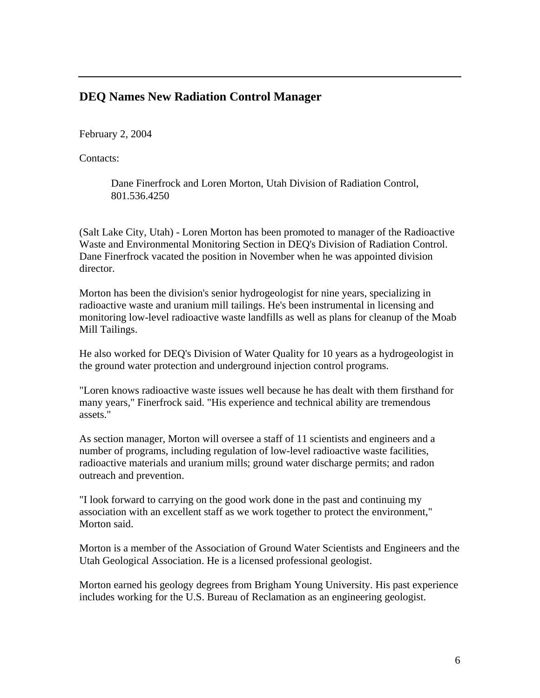### **DEQ Names New Radiation Control Manager**

February 2, 2004

Contacts:

Dane Finerfrock and Loren Morton, Utah Division of Radiation Control, 801.536.4250

(Salt Lake City, Utah) - Loren Morton has been promoted to manager of the Radioactive Waste and Environmental Monitoring Section in DEQ's Division of Radiation Control. Dane Finerfrock vacated the position in November when he was appointed division director.

Morton has been the division's senior hydrogeologist for nine years, specializing in radioactive waste and uranium mill tailings. He's been instrumental in licensing and monitoring low-level radioactive waste landfills as well as plans for cleanup of the Moab Mill Tailings.

He also worked for DEQ's Division of Water Quality for 10 years as a hydrogeologist in the ground water protection and underground injection control programs.

"Loren knows radioactive waste issues well because he has dealt with them firsthand for many years," Finerfrock said. "His experience and technical ability are tremendous assets."

As section manager, Morton will oversee a staff of 11 scientists and engineers and a number of programs, including regulation of low-level radioactive waste facilities, radioactive materials and uranium mills; ground water discharge permits; and radon outreach and prevention.

"I look forward to carrying on the good work done in the past and continuing my association with an excellent staff as we work together to protect the environment," Morton said.

Morton is a member of the Association of Ground Water Scientists and Engineers and the Utah Geological Association. He is a licensed professional geologist.

Morton earned his geology degrees from Brigham Young University. His past experience includes working for the U.S. Bureau of Reclamation as an engineering geologist.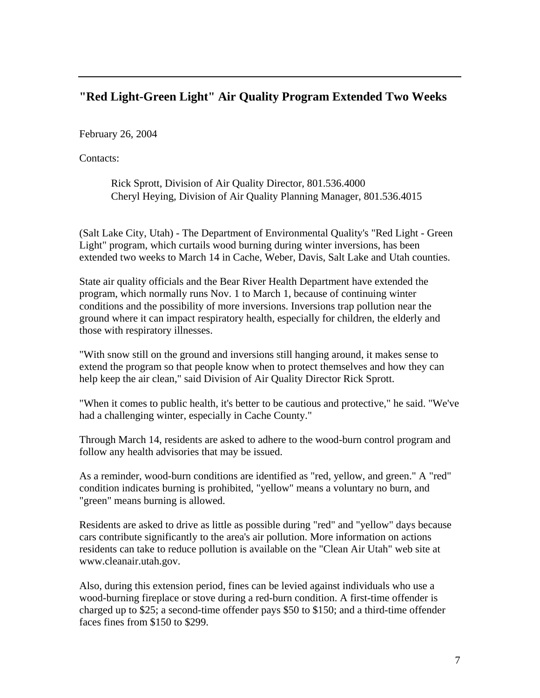## **"Red Light-Green Light" Air Quality Program Extended Two Weeks**

February 26, 2004

Contacts:

Rick Sprott, Division of Air Quality Director, 801.536.4000 Cheryl Heying, Division of Air Quality Planning Manager, 801.536.4015

(Salt Lake City, Utah) - The Department of Environmental Quality's "Red Light - Green Light" program, which curtails wood burning during winter inversions, has been extended two weeks to March 14 in Cache, Weber, Davis, Salt Lake and Utah counties.

State air quality officials and the Bear River Health Department have extended the program, which normally runs Nov. 1 to March 1, because of continuing winter conditions and the possibility of more inversions. Inversions trap pollution near the ground where it can impact respiratory health, especially for children, the elderly and those with respiratory illnesses.

"With snow still on the ground and inversions still hanging around, it makes sense to extend the program so that people know when to protect themselves and how they can help keep the air clean," said Division of Air Quality Director Rick Sprott.

"When it comes to public health, it's better to be cautious and protective," he said. "We've had a challenging winter, especially in Cache County."

Through March 14, residents are asked to adhere to the wood-burn control program and follow any health advisories that may be issued.

As a reminder, wood-burn conditions are identified as "red, yellow, and green." A "red" condition indicates burning is prohibited, "yellow" means a voluntary no burn, and "green" means burning is allowed.

Residents are asked to drive as little as possible during "red" and "yellow" days because cars contribute significantly to the area's air pollution. More information on actions residents can take to reduce pollution is available on the "Clean Air Utah" web site at www.cleanair.utah.gov.

Also, during this extension period, fines can be levied against individuals who use a wood-burning fireplace or stove during a red-burn condition. A first-time offender is charged up to \$25; a second-time offender pays \$50 to \$150; and a third-time offender faces fines from \$150 to \$299.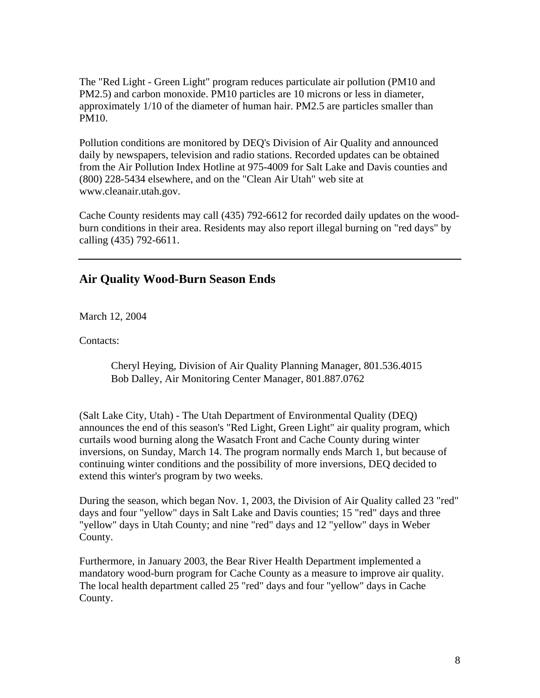The "Red Light - Green Light" program reduces particulate air pollution (PM10 and PM2.5) and carbon monoxide. PM10 particles are 10 microns or less in diameter, approximately 1/10 of the diameter of human hair. PM2.5 are particles smaller than PM10.

Pollution conditions are monitored by DEQ's Division of Air Quality and announced daily by newspapers, television and radio stations. Recorded updates can be obtained from the Air Pollution Index Hotline at 975-4009 for Salt Lake and Davis counties and (800) 228-5434 elsewhere, and on the "Clean Air Utah" web site at www.cleanair.utah.gov.

Cache County residents may call (435) 792-6612 for recorded daily updates on the woodburn conditions in their area. Residents may also report illegal burning on "red days" by calling (435) 792-6611.

### **Air Quality Wood-Burn Season Ends**

March 12, 2004

Contacts:

Cheryl Heying, Division of Air Quality Planning Manager, 801.536.4015 Bob Dalley, Air Monitoring Center Manager, 801.887.0762

(Salt Lake City, Utah) - The Utah Department of Environmental Quality (DEQ) announces the end of this season's "Red Light, Green Light" air quality program, which curtails wood burning along the Wasatch Front and Cache County during winter inversions, on Sunday, March 14. The program normally ends March 1, but because of continuing winter conditions and the possibility of more inversions, DEQ decided to extend this winter's program by two weeks.

During the season, which began Nov. 1, 2003, the Division of Air Quality called 23 "red" days and four "yellow" days in Salt Lake and Davis counties; 15 "red" days and three "yellow" days in Utah County; and nine "red" days and 12 "yellow" days in Weber County.

Furthermore, in January 2003, the Bear River Health Department implemented a mandatory wood-burn program for Cache County as a measure to improve air quality. The local health department called 25 "red" days and four "yellow" days in Cache County.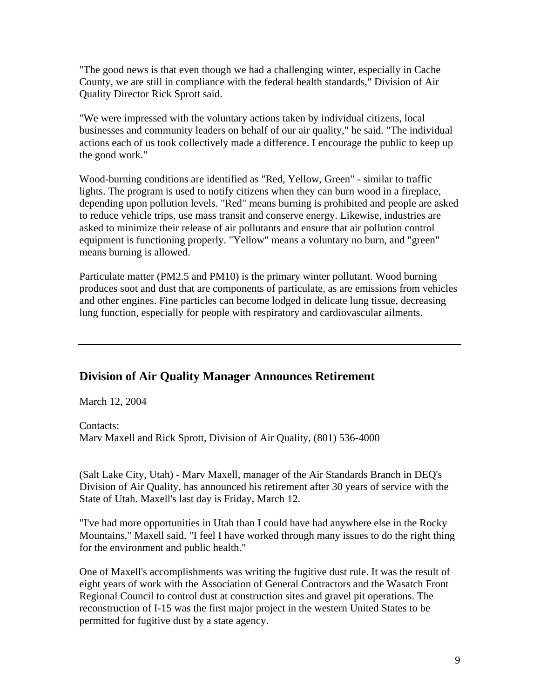"The good news is that even though we had a challenging winter, especially in Cache County, we are still in compliance with the federal health standards," Division of Air Quality Director Rick Sprott said.

"We were impressed with the voluntary actions taken by individual citizens, local businesses and community leaders on behalf of our air quality," he said. "The individual actions each of us took collectively made a difference. I encourage the public to keep up the good work."

Wood-burning conditions are identified as "Red, Yellow, Green" - similar to traffic lights. The program is used to notify citizens when they can burn wood in a fireplace, depending upon pollution levels. "Red" means burning is prohibited and people are asked to reduce vehicle trips, use mass transit and conserve energy. Likewise, industries are asked to minimize their release of air pollutants and ensure that air pollution control equipment is functioning properly. "Yellow" means a voluntary no burn, and "green" means burning is allowed.

Particulate matter (PM2.5 and PM10) is the primary winter pollutant. Wood burning produces soot and dust that are components of particulate, as are emissions from vehicles and other engines. Fine particles can become lodged in delicate lung tissue, decreasing lung function, especially for people with respiratory and cardiovascular ailments.

#### **Division of Air Quality Manager Announces Retirement**

March 12, 2004

Contacts: Marv Maxell and Rick Sprott, Division of Air Quality, (801) 536-4000

(Salt Lake City, Utah) - Marv Maxell, manager of the Air Standards Branch in DEQ's Division of Air Quality, has announced his retirement after 30 years of service with the State of Utah. Maxell's last day is Friday, March 12.

"I've had more opportunities in Utah than I could have had anywhere else in the Rocky Mountains," Maxell said. "I feel I have worked through many issues to do the right thing for the environment and public health."

One of Maxell's accomplishments was writing the fugitive dust rule. It was the result of eight years of work with the Association of General Contractors and the Wasatch Front Regional Council to control dust at construction sites and gravel pit operations. The reconstruction of I-15 was the first major project in the western United States to be permitted for fugitive dust by a state agency.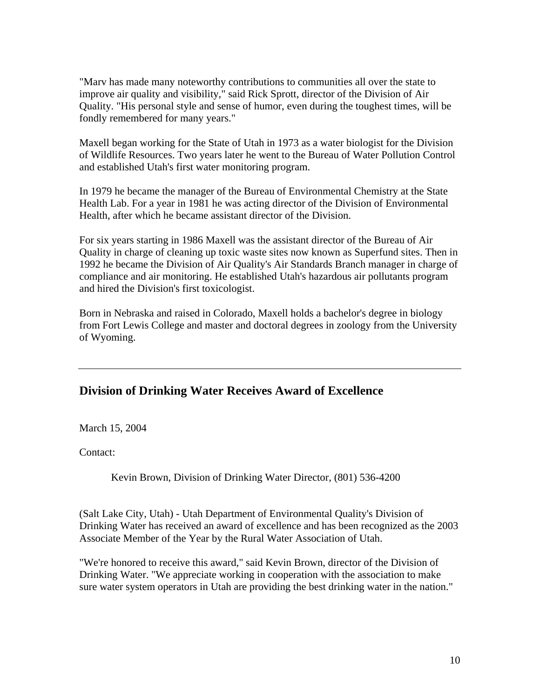"Marv has made many noteworthy contributions to communities all over the state to improve air quality and visibility," said Rick Sprott, director of the Division of Air Quality. "His personal style and sense of humor, even during the toughest times, will be fondly remembered for many years."

Maxell began working for the State of Utah in 1973 as a water biologist for the Division of Wildlife Resources. Two years later he went to the Bureau of Water Pollution Control and established Utah's first water monitoring program.

In 1979 he became the manager of the Bureau of Environmental Chemistry at the State Health Lab. For a year in 1981 he was acting director of the Division of Environmental Health, after which he became assistant director of the Division.

For six years starting in 1986 Maxell was the assistant director of the Bureau of Air Quality in charge of cleaning up toxic waste sites now known as Superfund sites. Then in 1992 he became the Division of Air Quality's Air Standards Branch manager in charge of compliance and air monitoring. He established Utah's hazardous air pollutants program and hired the Division's first toxicologist.

Born in Nebraska and raised in Colorado, Maxell holds a bachelor's degree in biology from Fort Lewis College and master and doctoral degrees in zoology from the University of Wyoming.

### **Division of Drinking Water Receives Award of Excellence**

March 15, 2004

Contact:

Kevin Brown, Division of Drinking Water Director, (801) 536-4200

(Salt Lake City, Utah) - Utah Department of Environmental Quality's Division of Drinking Water has received an award of excellence and has been recognized as the 2003 Associate Member of the Year by the Rural Water Association of Utah.

"We're honored to receive this award," said Kevin Brown, director of the Division of Drinking Water. "We appreciate working in cooperation with the association to make sure water system operators in Utah are providing the best drinking water in the nation."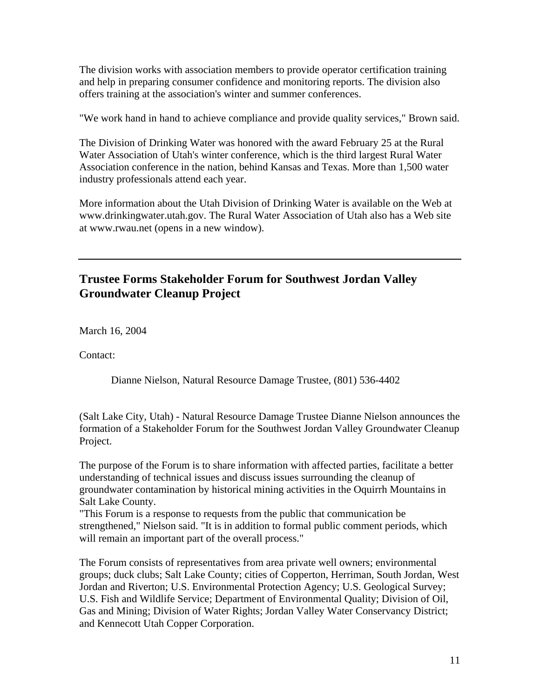The division works with association members to provide operator certification training and help in preparing consumer confidence and monitoring reports. The division also offers training at the association's winter and summer conferences.

"We work hand in hand to achieve compliance and provide quality services," Brown said.

The Division of Drinking Water was honored with the award February 25 at the Rural Water Association of Utah's winter conference, which is the third largest Rural Water Association conference in the nation, behind Kansas and Texas. More than 1,500 water industry professionals attend each year.

More information about the Utah Division of Drinking Water is available on the Web at www.drinkingwater.utah.gov. The Rural Water Association of Utah also has a Web site at www.rwau.net (opens in a new window).

## **Trustee Forms Stakeholder Forum for Southwest Jordan Valley Groundwater Cleanup Project**

March 16, 2004

Contact:

Dianne Nielson, Natural Resource Damage Trustee, (801) 536-4402

(Salt Lake City, Utah) - Natural Resource Damage Trustee Dianne Nielson announces the formation of a Stakeholder Forum for the Southwest Jordan Valley Groundwater Cleanup Project.

The purpose of the Forum is to share information with affected parties, facilitate a better understanding of technical issues and discuss issues surrounding the cleanup of groundwater contamination by historical mining activities in the Oquirrh Mountains in Salt Lake County.

"This Forum is a response to requests from the public that communication be strengthened," Nielson said. "It is in addition to formal public comment periods, which will remain an important part of the overall process."

The Forum consists of representatives from area private well owners; environmental groups; duck clubs; Salt Lake County; cities of Copperton, Herriman, South Jordan, West Jordan and Riverton; U.S. Environmental Protection Agency; U.S. Geological Survey; U.S. Fish and Wildlife Service; Department of Environmental Quality; Division of Oil, Gas and Mining; Division of Water Rights; Jordan Valley Water Conservancy District; and Kennecott Utah Copper Corporation.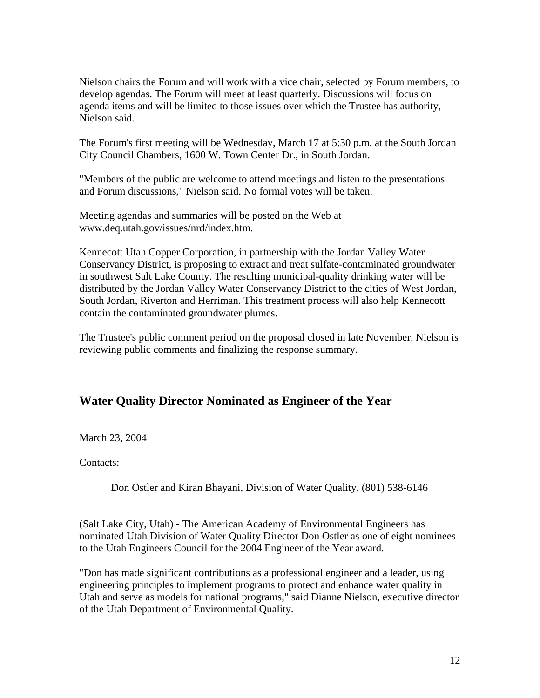Nielson chairs the Forum and will work with a vice chair, selected by Forum members, to develop agendas. The Forum will meet at least quarterly. Discussions will focus on agenda items and will be limited to those issues over which the Trustee has authority, Nielson said.

The Forum's first meeting will be Wednesday, March 17 at 5:30 p.m. at the South Jordan City Council Chambers, 1600 W. Town Center Dr., in South Jordan.

"Members of the public are welcome to attend meetings and listen to the presentations and Forum discussions," Nielson said. No formal votes will be taken.

Meeting agendas and summaries will be posted on the Web at www.deq.utah.gov/issues/nrd/index.htm.

Kennecott Utah Copper Corporation, in partnership with the Jordan Valley Water Conservancy District, is proposing to extract and treat sulfate-contaminated groundwater in southwest Salt Lake County. The resulting municipal-quality drinking water will be distributed by the Jordan Valley Water Conservancy District to the cities of West Jordan, South Jordan, Riverton and Herriman. This treatment process will also help Kennecott contain the contaminated groundwater plumes.

The Trustee's public comment period on the proposal closed in late November. Nielson is reviewing public comments and finalizing the response summary.

### **Water Quality Director Nominated as Engineer of the Year**

March 23, 2004

Contacts:

Don Ostler and Kiran Bhayani, Division of Water Quality, (801) 538-6146

(Salt Lake City, Utah) - The American Academy of Environmental Engineers has nominated Utah Division of Water Quality Director Don Ostler as one of eight nominees to the Utah Engineers Council for the 2004 Engineer of the Year award.

"Don has made significant contributions as a professional engineer and a leader, using engineering principles to implement programs to protect and enhance water quality in Utah and serve as models for national programs," said Dianne Nielson, executive director of the Utah Department of Environmental Quality.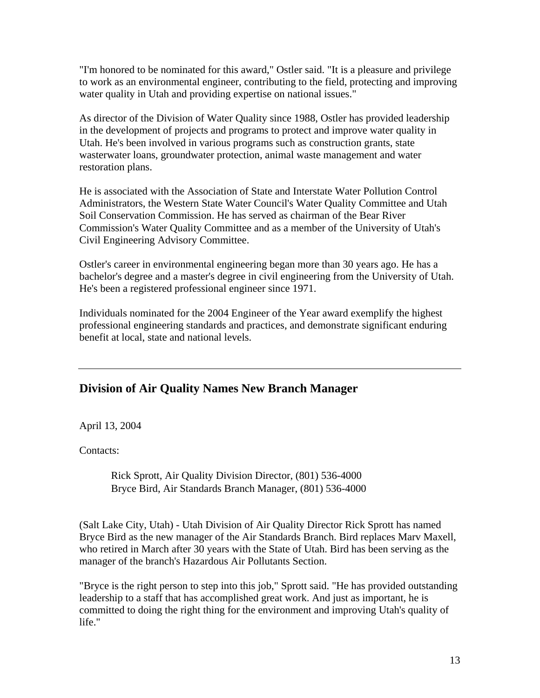"I'm honored to be nominated for this award," Ostler said. "It is a pleasure and privilege to work as an environmental engineer, contributing to the field, protecting and improving water quality in Utah and providing expertise on national issues."

As director of the Division of Water Quality since 1988, Ostler has provided leadership in the development of projects and programs to protect and improve water quality in Utah. He's been involved in various programs such as construction grants, state wasterwater loans, groundwater protection, animal waste management and water restoration plans.

He is associated with the Association of State and Interstate Water Pollution Control Administrators, the Western State Water Council's Water Quality Committee and Utah Soil Conservation Commission. He has served as chairman of the Bear River Commission's Water Quality Committee and as a member of the University of Utah's Civil Engineering Advisory Committee.

Ostler's career in environmental engineering began more than 30 years ago. He has a bachelor's degree and a master's degree in civil engineering from the University of Utah. He's been a registered professional engineer since 1971.

Individuals nominated for the 2004 Engineer of the Year award exemplify the highest professional engineering standards and practices, and demonstrate significant enduring benefit at local, state and national levels.

### **Division of Air Quality Names New Branch Manager**

April 13, 2004

Contacts:

Rick Sprott, Air Quality Division Director, (801) 536-4000 Bryce Bird, Air Standards Branch Manager, (801) 536-4000

(Salt Lake City, Utah) - Utah Division of Air Quality Director Rick Sprott has named Bryce Bird as the new manager of the Air Standards Branch. Bird replaces Marv Maxell, who retired in March after 30 years with the State of Utah. Bird has been serving as the manager of the branch's Hazardous Air Pollutants Section.

"Bryce is the right person to step into this job," Sprott said. "He has provided outstanding leadership to a staff that has accomplished great work. And just as important, he is committed to doing the right thing for the environment and improving Utah's quality of life."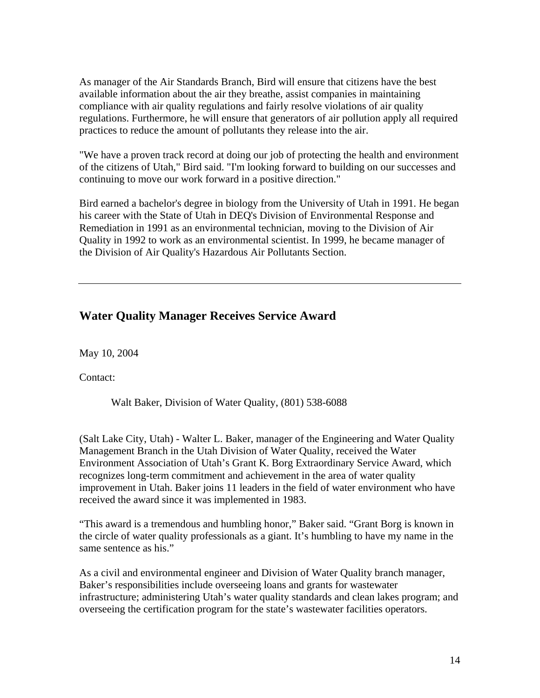As manager of the Air Standards Branch, Bird will ensure that citizens have the best available information about the air they breathe, assist companies in maintaining compliance with air quality regulations and fairly resolve violations of air quality regulations. Furthermore, he will ensure that generators of air pollution apply all required practices to reduce the amount of pollutants they release into the air.

"We have a proven track record at doing our job of protecting the health and environment of the citizens of Utah," Bird said. "I'm looking forward to building on our successes and continuing to move our work forward in a positive direction."

Bird earned a bachelor's degree in biology from the University of Utah in 1991. He began his career with the State of Utah in DEQ's Division of Environmental Response and Remediation in 1991 as an environmental technician, moving to the Division of Air Quality in 1992 to work as an environmental scientist. In 1999, he became manager of the Division of Air Quality's Hazardous Air Pollutants Section.

## **Water Quality Manager Receives Service Award**

May 10, 2004

Contact:

Walt Baker, Division of Water Quality, (801) 538-6088

(Salt Lake City, Utah) - Walter L. Baker, manager of the Engineering and Water Quality Management Branch in the Utah Division of Water Quality, received the Water Environment Association of Utah's Grant K. Borg Extraordinary Service Award, which recognizes long-term commitment and achievement in the area of water quality improvement in Utah. Baker joins 11 leaders in the field of water environment who have received the award since it was implemented in 1983.

"This award is a tremendous and humbling honor," Baker said. "Grant Borg is known in the circle of water quality professionals as a giant. It's humbling to have my name in the same sentence as his."

As a civil and environmental engineer and Division of Water Quality branch manager, Baker's responsibilities include overseeing loans and grants for wastewater infrastructure; administering Utah's water quality standards and clean lakes program; and overseeing the certification program for the state's wastewater facilities operators.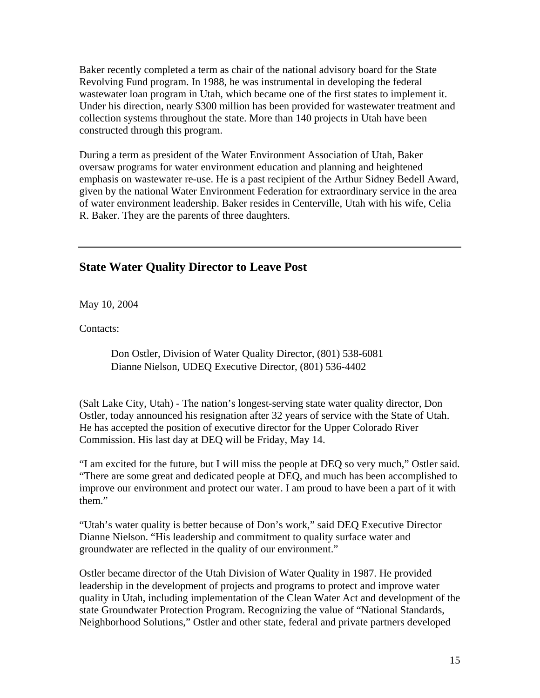Baker recently completed a term as chair of the national advisory board for the State Revolving Fund program. In 1988, he was instrumental in developing the federal wastewater loan program in Utah, which became one of the first states to implement it. Under his direction, nearly \$300 million has been provided for wastewater treatment and collection systems throughout the state. More than 140 projects in Utah have been constructed through this program.

During a term as president of the Water Environment Association of Utah, Baker oversaw programs for water environment education and planning and heightened emphasis on wastewater re-use. He is a past recipient of the Arthur Sidney Bedell Award, given by the national Water Environment Federation for extraordinary service in the area of water environment leadership. Baker resides in Centerville, Utah with his wife, Celia R. Baker. They are the parents of three daughters.

#### **State Water Quality Director to Leave Post**

May 10, 2004

Contacts:

Don Ostler, Division of Water Quality Director, (801) 538-6081 Dianne Nielson, UDEQ Executive Director, (801) 536-4402

(Salt Lake City, Utah) - The nation's longest-serving state water quality director, Don Ostler, today announced his resignation after 32 years of service with the State of Utah. He has accepted the position of executive director for the Upper Colorado River Commission. His last day at DEQ will be Friday, May 14.

"I am excited for the future, but I will miss the people at DEQ so very much," Ostler said. "There are some great and dedicated people at DEQ, and much has been accomplished to improve our environment and protect our water. I am proud to have been a part of it with them."

"Utah's water quality is better because of Don's work," said DEQ Executive Director Dianne Nielson. "His leadership and commitment to quality surface water and groundwater are reflected in the quality of our environment."

Ostler became director of the Utah Division of Water Quality in 1987. He provided leadership in the development of projects and programs to protect and improve water quality in Utah, including implementation of the Clean Water Act and development of the state Groundwater Protection Program. Recognizing the value of "National Standards, Neighborhood Solutions," Ostler and other state, federal and private partners developed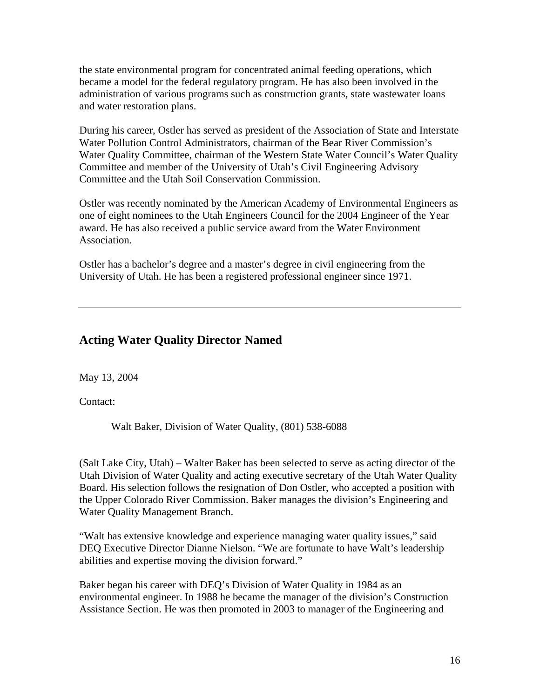the state environmental program for concentrated animal feeding operations, which became a model for the federal regulatory program. He has also been involved in the administration of various programs such as construction grants, state wastewater loans and water restoration plans.

During his career, Ostler has served as president of the Association of State and Interstate Water Pollution Control Administrators, chairman of the Bear River Commission's Water Quality Committee, chairman of the Western State Water Council's Water Quality Committee and member of the University of Utah's Civil Engineering Advisory Committee and the Utah Soil Conservation Commission.

Ostler was recently nominated by the American Academy of Environmental Engineers as one of eight nominees to the Utah Engineers Council for the 2004 Engineer of the Year award. He has also received a public service award from the Water Environment Association.

Ostler has a bachelor's degree and a master's degree in civil engineering from the University of Utah. He has been a registered professional engineer since 1971.

#### **Acting Water Quality Director Named**

May 13, 2004

Contact:

Walt Baker, Division of Water Quality, (801) 538-6088

(Salt Lake City, Utah) – Walter Baker has been selected to serve as acting director of the Utah Division of Water Quality and acting executive secretary of the Utah Water Quality Board. His selection follows the resignation of Don Ostler, who accepted a position with the Upper Colorado River Commission. Baker manages the division's Engineering and Water Quality Management Branch.

"Walt has extensive knowledge and experience managing water quality issues," said DEQ Executive Director Dianne Nielson. "We are fortunate to have Walt's leadership abilities and expertise moving the division forward."

Baker began his career with DEQ's Division of Water Quality in 1984 as an environmental engineer. In 1988 he became the manager of the division's Construction Assistance Section. He was then promoted in 2003 to manager of the Engineering and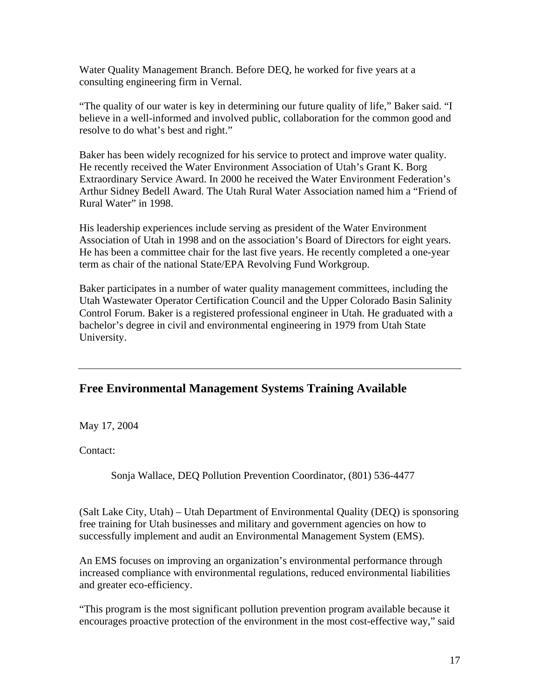Water Quality Management Branch. Before DEQ, he worked for five years at a consulting engineering firm in Vernal.

"The quality of our water is key in determining our future quality of life," Baker said. "I believe in a well-informed and involved public, collaboration for the common good and resolve to do what's best and right."

Baker has been widely recognized for his service to protect and improve water quality. He recently received the Water Environment Association of Utah's Grant K. Borg Extraordinary Service Award. In 2000 he received the Water Environment Federation's Arthur Sidney Bedell Award. The Utah Rural Water Association named him a "Friend of Rural Water" in 1998.

His leadership experiences include serving as president of the Water Environment Association of Utah in 1998 and on the association's Board of Directors for eight years. He has been a committee chair for the last five years. He recently completed a one-year term as chair of the national State/EPA Revolving Fund Workgroup.

Baker participates in a number of water quality management committees, including the Utah Wastewater Operator Certification Council and the Upper Colorado Basin Salinity Control Forum. Baker is a registered professional engineer in Utah. He graduated with a bachelor's degree in civil and environmental engineering in 1979 from Utah State University.

### **Free Environmental Management Systems Training Available**

May 17, 2004

Contact:

Sonja Wallace, DEQ Pollution Prevention Coordinator, (801) 536-4477

(Salt Lake City, Utah) – Utah Department of Environmental Quality (DEQ) is sponsoring free training for Utah businesses and military and government agencies on how to successfully implement and audit an Environmental Management System (EMS).

An EMS focuses on improving an organization's environmental performance through increased compliance with environmental regulations, reduced environmental liabilities and greater eco-efficiency.

"This program is the most significant pollution prevention program available because it encourages proactive protection of the environment in the most cost-effective way," said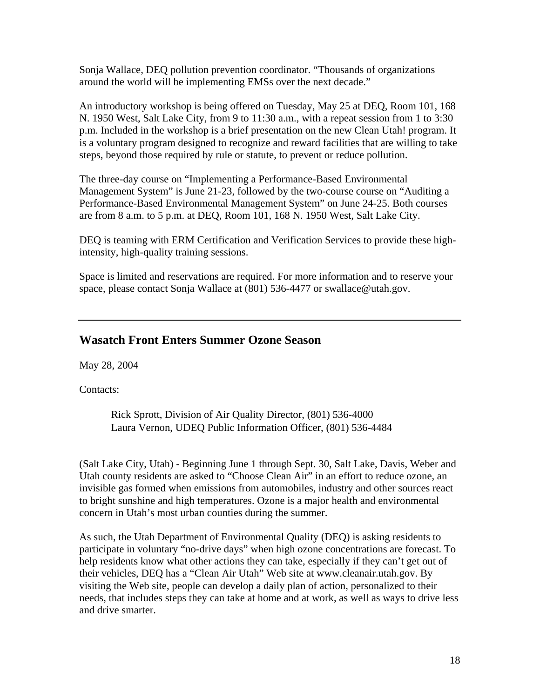Sonja Wallace, DEQ pollution prevention coordinator. "Thousands of organizations around the world will be implementing EMSs over the next decade."

An introductory workshop is being offered on Tuesday, May 25 at DEQ, Room 101, 168 N. 1950 West, Salt Lake City, from 9 to 11:30 a.m., with a repeat session from 1 to 3:30 p.m. Included in the workshop is a brief presentation on the new Clean Utah! program. It is a voluntary program designed to recognize and reward facilities that are willing to take steps, beyond those required by rule or statute, to prevent or reduce pollution.

The three-day course on "Implementing a Performance-Based Environmental Management System" is June 21-23, followed by the two-course course on "Auditing a Performance-Based Environmental Management System" on June 24-25. Both courses are from 8 a.m. to 5 p.m. at DEQ, Room 101, 168 N. 1950 West, Salt Lake City.

DEQ is teaming with ERM Certification and Verification Services to provide these highintensity, high-quality training sessions.

Space is limited and reservations are required. For more information and to reserve your space, please contact Sonja Wallace at (801) 536-4477 or swallace@utah.gov.

#### **Wasatch Front Enters Summer Ozone Season**

May 28, 2004

Contacts:

Rick Sprott, Division of Air Quality Director, (801) 536-4000 Laura Vernon, UDEQ Public Information Officer, (801) 536-4484

(Salt Lake City, Utah) - Beginning June 1 through Sept. 30, Salt Lake, Davis, Weber and Utah county residents are asked to "Choose Clean Air" in an effort to reduce ozone, an invisible gas formed when emissions from automobiles, industry and other sources react to bright sunshine and high temperatures. Ozone is a major health and environmental concern in Utah's most urban counties during the summer.

As such, the Utah Department of Environmental Quality (DEQ) is asking residents to participate in voluntary "no-drive days" when high ozone concentrations are forecast. To help residents know what other actions they can take, especially if they can't get out of their vehicles, DEQ has a "Clean Air Utah" Web site at www.cleanair.utah.gov. By visiting the Web site, people can develop a daily plan of action, personalized to their needs, that includes steps they can take at home and at work, as well as ways to drive less and drive smarter.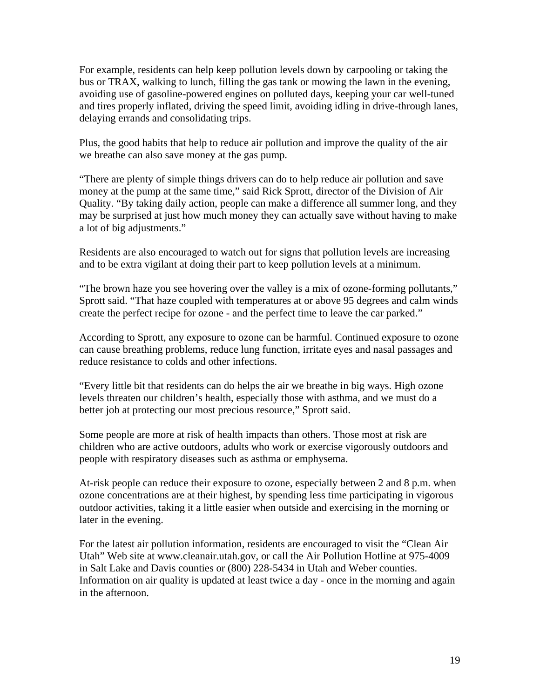For example, residents can help keep pollution levels down by carpooling or taking the bus or TRAX, walking to lunch, filling the gas tank or mowing the lawn in the evening, avoiding use of gasoline-powered engines on polluted days, keeping your car well-tuned and tires properly inflated, driving the speed limit, avoiding idling in drive-through lanes, delaying errands and consolidating trips.

Plus, the good habits that help to reduce air pollution and improve the quality of the air we breathe can also save money at the gas pump.

"There are plenty of simple things drivers can do to help reduce air pollution and save money at the pump at the same time," said Rick Sprott, director of the Division of Air Quality. "By taking daily action, people can make a difference all summer long, and they may be surprised at just how much money they can actually save without having to make a lot of big adjustments."

Residents are also encouraged to watch out for signs that pollution levels are increasing and to be extra vigilant at doing their part to keep pollution levels at a minimum.

"The brown haze you see hovering over the valley is a mix of ozone-forming pollutants," Sprott said. "That haze coupled with temperatures at or above 95 degrees and calm winds create the perfect recipe for ozone - and the perfect time to leave the car parked."

According to Sprott, any exposure to ozone can be harmful. Continued exposure to ozone can cause breathing problems, reduce lung function, irritate eyes and nasal passages and reduce resistance to colds and other infections.

"Every little bit that residents can do helps the air we breathe in big ways. High ozone levels threaten our children's health, especially those with asthma, and we must do a better job at protecting our most precious resource," Sprott said.

Some people are more at risk of health impacts than others. Those most at risk are children who are active outdoors, adults who work or exercise vigorously outdoors and people with respiratory diseases such as asthma or emphysema.

At-risk people can reduce their exposure to ozone, especially between 2 and 8 p.m. when ozone concentrations are at their highest, by spending less time participating in vigorous outdoor activities, taking it a little easier when outside and exercising in the morning or later in the evening.

For the latest air pollution information, residents are encouraged to visit the "Clean Air Utah" Web site at www.cleanair.utah.gov, or call the Air Pollution Hotline at 975-4009 in Salt Lake and Davis counties or (800) 228-5434 in Utah and Weber counties. Information on air quality is updated at least twice a day - once in the morning and again in the afternoon.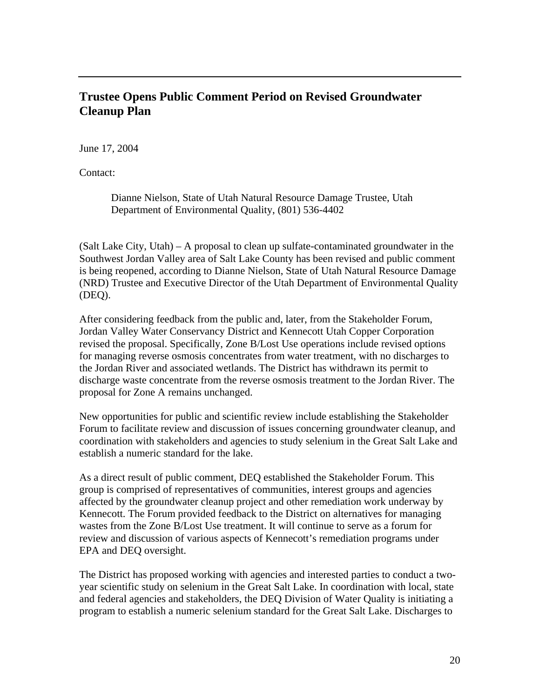### **Trustee Opens Public Comment Period on Revised Groundwater Cleanup Plan**

June 17, 2004

Contact:

Dianne Nielson, State of Utah Natural Resource Damage Trustee, Utah Department of Environmental Quality, (801) 536-4402

(Salt Lake City, Utah) – A proposal to clean up sulfate-contaminated groundwater in the Southwest Jordan Valley area of Salt Lake County has been revised and public comment is being reopened, according to Dianne Nielson, State of Utah Natural Resource Damage (NRD) Trustee and Executive Director of the Utah Department of Environmental Quality (DEQ).

After considering feedback from the public and, later, from the Stakeholder Forum, Jordan Valley Water Conservancy District and Kennecott Utah Copper Corporation revised the proposal. Specifically, Zone B/Lost Use operations include revised options for managing reverse osmosis concentrates from water treatment, with no discharges to the Jordan River and associated wetlands. The District has withdrawn its permit to discharge waste concentrate from the reverse osmosis treatment to the Jordan River. The proposal for Zone A remains unchanged.

New opportunities for public and scientific review include establishing the Stakeholder Forum to facilitate review and discussion of issues concerning groundwater cleanup, and coordination with stakeholders and agencies to study selenium in the Great Salt Lake and establish a numeric standard for the lake.

As a direct result of public comment, DEQ established the Stakeholder Forum. This group is comprised of representatives of communities, interest groups and agencies affected by the groundwater cleanup project and other remediation work underway by Kennecott. The Forum provided feedback to the District on alternatives for managing wastes from the Zone B/Lost Use treatment. It will continue to serve as a forum for review and discussion of various aspects of Kennecott's remediation programs under EPA and DEQ oversight.

The District has proposed working with agencies and interested parties to conduct a twoyear scientific study on selenium in the Great Salt Lake. In coordination with local, state and federal agencies and stakeholders, the DEQ Division of Water Quality is initiating a program to establish a numeric selenium standard for the Great Salt Lake. Discharges to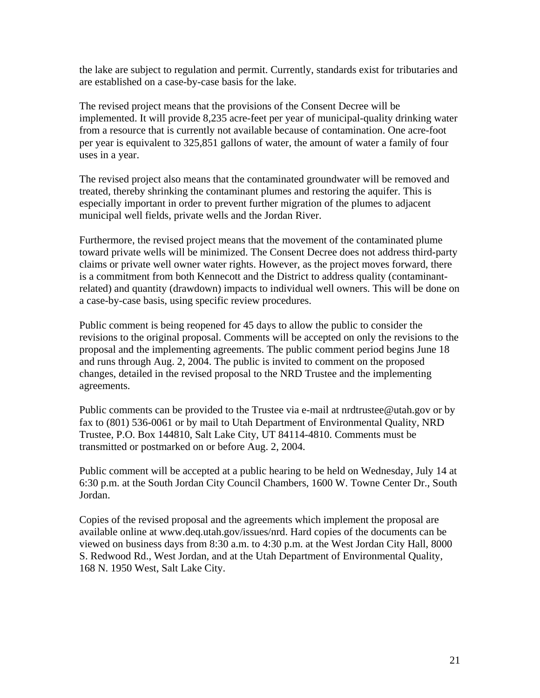the lake are subject to regulation and permit. Currently, standards exist for tributaries and are established on a case-by-case basis for the lake.

The revised project means that the provisions of the Consent Decree will be implemented. It will provide 8,235 acre-feet per year of municipal-quality drinking water from a resource that is currently not available because of contamination. One acre-foot per year is equivalent to 325,851 gallons of water, the amount of water a family of four uses in a year.

The revised project also means that the contaminated groundwater will be removed and treated, thereby shrinking the contaminant plumes and restoring the aquifer. This is especially important in order to prevent further migration of the plumes to adjacent municipal well fields, private wells and the Jordan River.

Furthermore, the revised project means that the movement of the contaminated plume toward private wells will be minimized. The Consent Decree does not address third-party claims or private well owner water rights. However, as the project moves forward, there is a commitment from both Kennecott and the District to address quality (contaminantrelated) and quantity (drawdown) impacts to individual well owners. This will be done on a case-by-case basis, using specific review procedures.

Public comment is being reopened for 45 days to allow the public to consider the revisions to the original proposal. Comments will be accepted on only the revisions to the proposal and the implementing agreements. The public comment period begins June 18 and runs through Aug. 2, 2004. The public is invited to comment on the proposed changes, detailed in the revised proposal to the NRD Trustee and the implementing agreements.

Public comments can be provided to the Trustee via e-mail at nrdtrustee@utah.gov or by fax to (801) 536-0061 or by mail to Utah Department of Environmental Quality, NRD Trustee, P.O. Box 144810, Salt Lake City, UT 84114-4810. Comments must be transmitted or postmarked on or before Aug. 2, 2004.

Public comment will be accepted at a public hearing to be held on Wednesday, July 14 at 6:30 p.m. at the South Jordan City Council Chambers, 1600 W. Towne Center Dr., South Jordan.

Copies of the revised proposal and the agreements which implement the proposal are available online at www.deq.utah.gov/issues/nrd. Hard copies of the documents can be viewed on business days from 8:30 a.m. to 4:30 p.m. at the West Jordan City Hall, 8000 S. Redwood Rd., West Jordan, and at the Utah Department of Environmental Quality, 168 N. 1950 West, Salt Lake City.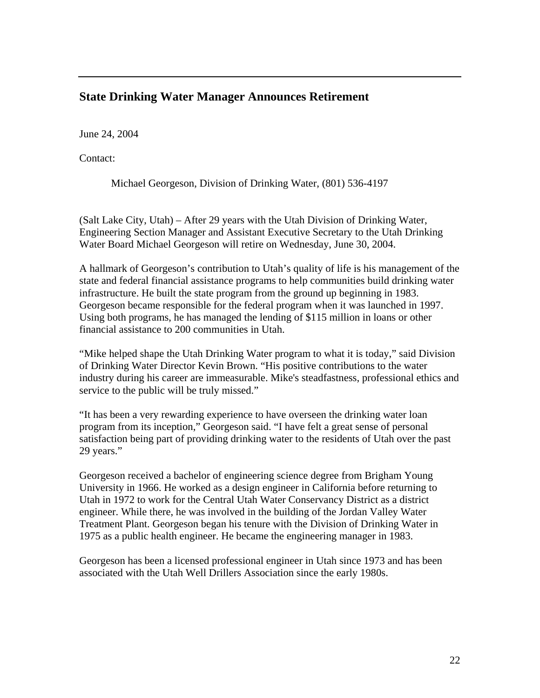# **State Drinking Water Manager Announces Retirement**

June 24, 2004

Contact:

Michael Georgeson, Division of Drinking Water, (801) 536-4197

(Salt Lake City, Utah) – After 29 years with the Utah Division of Drinking Water, Engineering Section Manager and Assistant Executive Secretary to the Utah Drinking Water Board Michael Georgeson will retire on Wednesday, June 30, 2004.

A hallmark of Georgeson's contribution to Utah's quality of life is his management of the state and federal financial assistance programs to help communities build drinking water infrastructure. He built the state program from the ground up beginning in 1983. Georgeson became responsible for the federal program when it was launched in 1997. Using both programs, he has managed the lending of \$115 million in loans or other financial assistance to 200 communities in Utah.

"Mike helped shape the Utah Drinking Water program to what it is today," said Division of Drinking Water Director Kevin Brown. "His positive contributions to the water industry during his career are immeasurable. Mike's steadfastness, professional ethics and service to the public will be truly missed."

"It has been a very rewarding experience to have overseen the drinking water loan program from its inception," Georgeson said. "I have felt a great sense of personal satisfaction being part of providing drinking water to the residents of Utah over the past 29 years."

Georgeson received a bachelor of engineering science degree from Brigham Young University in 1966. He worked as a design engineer in California before returning to Utah in 1972 to work for the Central Utah Water Conservancy District as a district engineer. While there, he was involved in the building of the Jordan Valley Water Treatment Plant. Georgeson began his tenure with the Division of Drinking Water in 1975 as a public health engineer. He became the engineering manager in 1983.

Georgeson has been a licensed professional engineer in Utah since 1973 and has been associated with the Utah Well Drillers Association since the early 1980s.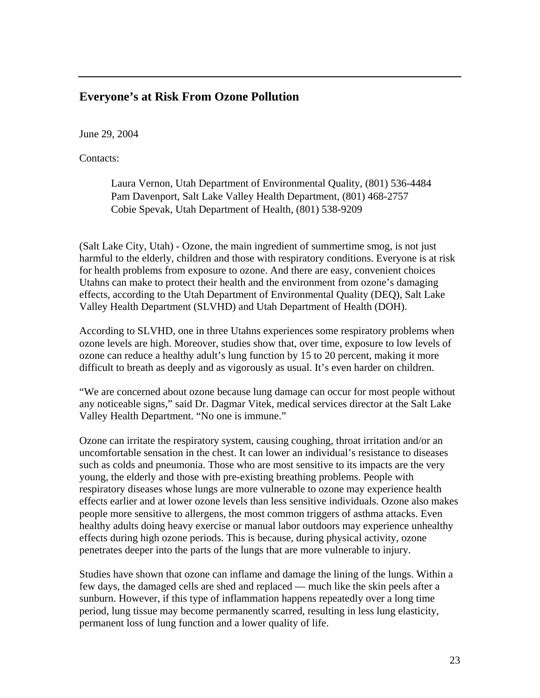#### **Everyone's at Risk From Ozone Pollution**

June 29, 2004

Contacts:

Laura Vernon, Utah Department of Environmental Quality, (801) 536-4484 Pam Davenport, Salt Lake Valley Health Department, (801) 468-2757 Cobie Spevak, Utah Department of Health, (801) 538-9209

(Salt Lake City, Utah) - Ozone, the main ingredient of summertime smog, is not just harmful to the elderly, children and those with respiratory conditions. Everyone is at risk for health problems from exposure to ozone. And there are easy, convenient choices Utahns can make to protect their health and the environment from ozone's damaging effects, according to the Utah Department of Environmental Quality (DEQ), Salt Lake Valley Health Department (SLVHD) and Utah Department of Health (DOH).

According to SLVHD, one in three Utahns experiences some respiratory problems when ozone levels are high. Moreover, studies show that, over time, exposure to low levels of ozone can reduce a healthy adult's lung function by 15 to 20 percent, making it more difficult to breath as deeply and as vigorously as usual. It's even harder on children.

"We are concerned about ozone because lung damage can occur for most people without any noticeable signs," said Dr. Dagmar Vitek, medical services director at the Salt Lake Valley Health Department. "No one is immune."

Ozone can irritate the respiratory system, causing coughing, throat irritation and/or an uncomfortable sensation in the chest. It can lower an individual's resistance to diseases such as colds and pneumonia. Those who are most sensitive to its impacts are the very young, the elderly and those with pre-existing breathing problems. People with respiratory diseases whose lungs are more vulnerable to ozone may experience health effects earlier and at lower ozone levels than less sensitive individuals. Ozone also makes people more sensitive to allergens, the most common triggers of asthma attacks. Even healthy adults doing heavy exercise or manual labor outdoors may experience unhealthy effects during high ozone periods. This is because, during physical activity, ozone penetrates deeper into the parts of the lungs that are more vulnerable to injury.

Studies have shown that ozone can inflame and damage the lining of the lungs. Within a few days, the damaged cells are shed and replaced — much like the skin peels after a sunburn. However, if this type of inflammation happens repeatedly over a long time period, lung tissue may become permanently scarred, resulting in less lung elasticity, permanent loss of lung function and a lower quality of life.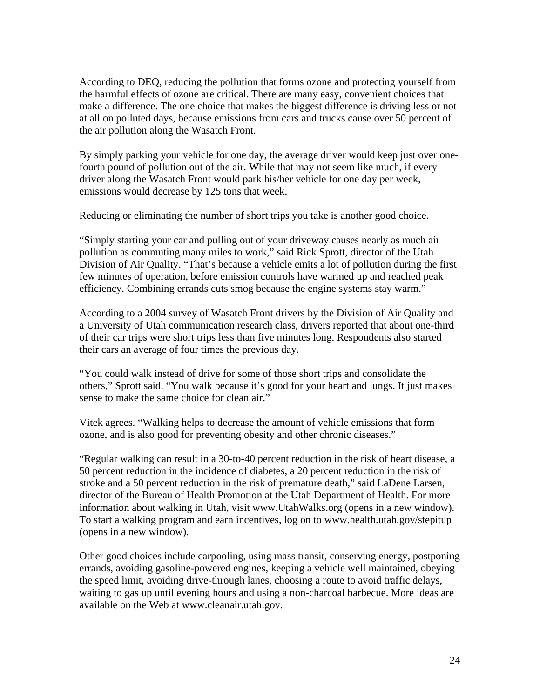According to DEQ, reducing the pollution that forms ozone and protecting yourself from the harmful effects of ozone are critical. There are many easy, convenient choices that make a difference. The one choice that makes the biggest difference is driving less or not at all on polluted days, because emissions from cars and trucks cause over 50 percent of the air pollution along the Wasatch Front.

By simply parking your vehicle for one day, the average driver would keep just over onefourth pound of pollution out of the air. While that may not seem like much, if every driver along the Wasatch Front would park his/her vehicle for one day per week, emissions would decrease by 125 tons that week.

Reducing or eliminating the number of short trips you take is another good choice.

"Simply starting your car and pulling out of your driveway causes nearly as much air pollution as commuting many miles to work," said Rick Sprott, director of the Utah Division of Air Quality. "That's because a vehicle emits a lot of pollution during the first few minutes of operation, before emission controls have warmed up and reached peak efficiency. Combining errands cuts smog because the engine systems stay warm."

According to a 2004 survey of Wasatch Front drivers by the Division of Air Quality and a University of Utah communication research class, drivers reported that about one-third of their car trips were short trips less than five minutes long. Respondents also started their cars an average of four times the previous day.

"You could walk instead of drive for some of those short trips and consolidate the others," Sprott said. "You walk because it's good for your heart and lungs. It just makes sense to make the same choice for clean air."

Vitek agrees. "Walking helps to decrease the amount of vehicle emissions that form ozone, and is also good for preventing obesity and other chronic diseases."

"Regular walking can result in a 30-to-40 percent reduction in the risk of heart disease, a 50 percent reduction in the incidence of diabetes, a 20 percent reduction in the risk of stroke and a 50 percent reduction in the risk of premature death," said LaDene Larsen, director of the Bureau of Health Promotion at the Utah Department of Health. For more information about walking in Utah, visit www.UtahWalks.org (opens in a new window). To start a walking program and earn incentives, log on to www.health.utah.gov/stepitup (opens in a new window).

Other good choices include carpooling, using mass transit, conserving energy, postponing errands, avoiding gasoline-powered engines, keeping a vehicle well maintained, obeying the speed limit, avoiding drive-through lanes, choosing a route to avoid traffic delays, waiting to gas up until evening hours and using a non-charcoal barbecue. More ideas are available on the Web at www.cleanair.utah.gov.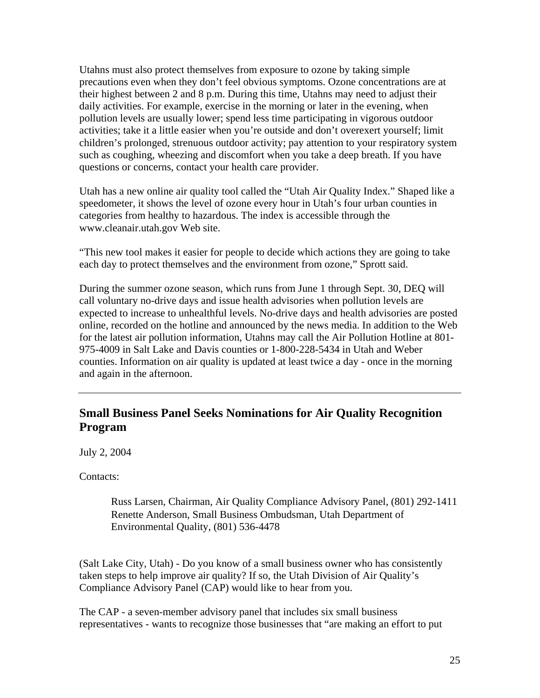Utahns must also protect themselves from exposure to ozone by taking simple precautions even when they don't feel obvious symptoms. Ozone concentrations are at their highest between 2 and 8 p.m. During this time, Utahns may need to adjust their daily activities. For example, exercise in the morning or later in the evening, when pollution levels are usually lower; spend less time participating in vigorous outdoor activities; take it a little easier when you're outside and don't overexert yourself; limit children's prolonged, strenuous outdoor activity; pay attention to your respiratory system such as coughing, wheezing and discomfort when you take a deep breath. If you have questions or concerns, contact your health care provider.

Utah has a new online air quality tool called the "Utah Air Quality Index." Shaped like a speedometer, it shows the level of ozone every hour in Utah's four urban counties in categories from healthy to hazardous. The index is accessible through the www.cleanair.utah.gov Web site.

"This new tool makes it easier for people to decide which actions they are going to take each day to protect themselves and the environment from ozone," Sprott said.

During the summer ozone season, which runs from June 1 through Sept. 30, DEQ will call voluntary no-drive days and issue health advisories when pollution levels are expected to increase to unhealthful levels. No-drive days and health advisories are posted online, recorded on the hotline and announced by the news media. In addition to the Web for the latest air pollution information, Utahns may call the Air Pollution Hotline at 801- 975-4009 in Salt Lake and Davis counties or 1-800-228-5434 in Utah and Weber counties. Information on air quality is updated at least twice a day - once in the morning and again in the afternoon.

### **Small Business Panel Seeks Nominations for Air Quality Recognition Program**

July 2, 2004

Contacts:

Russ Larsen, Chairman, Air Quality Compliance Advisory Panel, (801) 292-1411 Renette Anderson, Small Business Ombudsman, Utah Department of Environmental Quality, (801) 536-4478

(Salt Lake City, Utah) - Do you know of a small business owner who has consistently taken steps to help improve air quality? If so, the Utah Division of Air Quality's Compliance Advisory Panel (CAP) would like to hear from you.

The CAP - a seven-member advisory panel that includes six small business representatives - wants to recognize those businesses that "are making an effort to put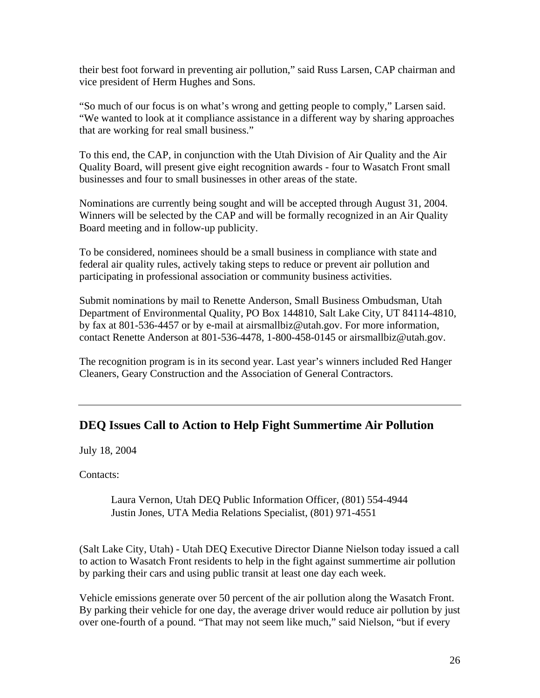their best foot forward in preventing air pollution," said Russ Larsen, CAP chairman and vice president of Herm Hughes and Sons.

"So much of our focus is on what's wrong and getting people to comply," Larsen said. "We wanted to look at it compliance assistance in a different way by sharing approaches that are working for real small business."

To this end, the CAP, in conjunction with the Utah Division of Air Quality and the Air Quality Board, will present give eight recognition awards - four to Wasatch Front small businesses and four to small businesses in other areas of the state.

Nominations are currently being sought and will be accepted through August 31, 2004. Winners will be selected by the CAP and will be formally recognized in an Air Quality Board meeting and in follow-up publicity.

To be considered, nominees should be a small business in compliance with state and federal air quality rules, actively taking steps to reduce or prevent air pollution and participating in professional association or community business activities.

Submit nominations by mail to Renette Anderson, Small Business Ombudsman, Utah Department of Environmental Quality, PO Box 144810, Salt Lake City, UT 84114-4810, by fax at 801-536-4457 or by e-mail at airsmallbiz@utah.gov. For more information, contact Renette Anderson at 801-536-4478, 1-800-458-0145 or airsmallbiz@utah.gov.

The recognition program is in its second year. Last year's winners included Red Hanger Cleaners, Geary Construction and the Association of General Contractors.

# **DEQ Issues Call to Action to Help Fight Summertime Air Pollution**

July 18, 2004

Contacts:

Laura Vernon, Utah DEQ Public Information Officer, (801) 554-4944 Justin Jones, UTA Media Relations Specialist, (801) 971-4551

(Salt Lake City, Utah) - Utah DEQ Executive Director Dianne Nielson today issued a call to action to Wasatch Front residents to help in the fight against summertime air pollution by parking their cars and using public transit at least one day each week.

Vehicle emissions generate over 50 percent of the air pollution along the Wasatch Front. By parking their vehicle for one day, the average driver would reduce air pollution by just over one-fourth of a pound. "That may not seem like much," said Nielson, "but if every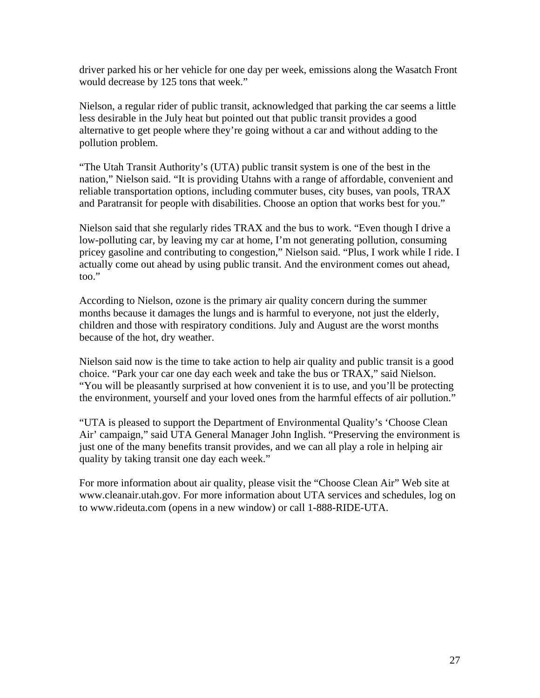driver parked his or her vehicle for one day per week, emissions along the Wasatch Front would decrease by 125 tons that week."

Nielson, a regular rider of public transit, acknowledged that parking the car seems a little less desirable in the July heat but pointed out that public transit provides a good alternative to get people where they're going without a car and without adding to the pollution problem.

"The Utah Transit Authority's (UTA) public transit system is one of the best in the nation," Nielson said. "It is providing Utahns with a range of affordable, convenient and reliable transportation options, including commuter buses, city buses, van pools, TRAX and Paratransit for people with disabilities. Choose an option that works best for you."

Nielson said that she regularly rides TRAX and the bus to work. "Even though I drive a low-polluting car, by leaving my car at home, I'm not generating pollution, consuming pricey gasoline and contributing to congestion," Nielson said. "Plus, I work while I ride. I actually come out ahead by using public transit. And the environment comes out ahead, too."

According to Nielson, ozone is the primary air quality concern during the summer months because it damages the lungs and is harmful to everyone, not just the elderly, children and those with respiratory conditions. July and August are the worst months because of the hot, dry weather.

Nielson said now is the time to take action to help air quality and public transit is a good choice. "Park your car one day each week and take the bus or TRAX," said Nielson. "You will be pleasantly surprised at how convenient it is to use, and you'll be protecting the environment, yourself and your loved ones from the harmful effects of air pollution."

"UTA is pleased to support the Department of Environmental Quality's 'Choose Clean Air' campaign," said UTA General Manager John Inglish. "Preserving the environment is just one of the many benefits transit provides, and we can all play a role in helping air quality by taking transit one day each week."

For more information about air quality, please visit the "Choose Clean Air" Web site at www.cleanair.utah.gov. For more information about UTA services and schedules, log on to www.rideuta.com (opens in a new window) or call 1-888-RIDE-UTA.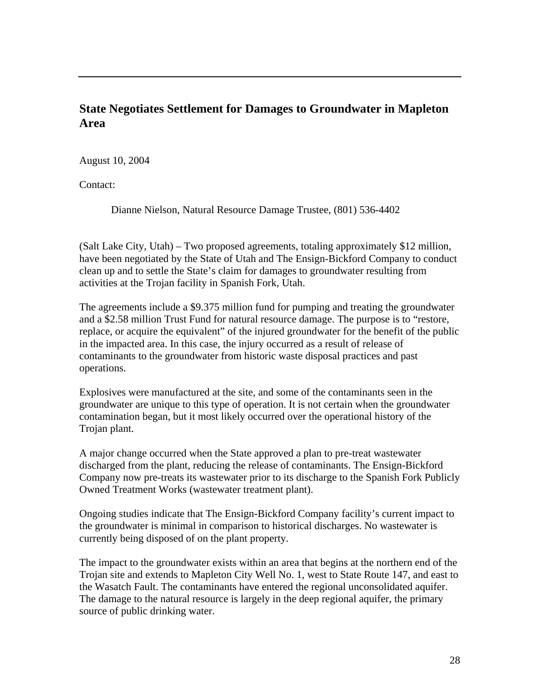### **State Negotiates Settlement for Damages to Groundwater in Mapleton Area**

August 10, 2004

Contact:

Dianne Nielson, Natural Resource Damage Trustee, (801) 536-4402

(Salt Lake City, Utah) – Two proposed agreements, totaling approximately \$12 million, have been negotiated by the State of Utah and The Ensign-Bickford Company to conduct clean up and to settle the State's claim for damages to groundwater resulting from activities at the Trojan facility in Spanish Fork, Utah.

The agreements include a \$9.375 million fund for pumping and treating the groundwater and a \$2.58 million Trust Fund for natural resource damage. The purpose is to "restore, replace, or acquire the equivalent" of the injured groundwater for the benefit of the public in the impacted area. In this case, the injury occurred as a result of release of contaminants to the groundwater from historic waste disposal practices and past operations.

Explosives were manufactured at the site, and some of the contaminants seen in the groundwater are unique to this type of operation. It is not certain when the groundwater contamination began, but it most likely occurred over the operational history of the Trojan plant.

A major change occurred when the State approved a plan to pre-treat wastewater discharged from the plant, reducing the release of contaminants. The Ensign-Bickford Company now pre-treats its wastewater prior to its discharge to the Spanish Fork Publicly Owned Treatment Works (wastewater treatment plant).

Ongoing studies indicate that The Ensign-Bickford Company facility's current impact to the groundwater is minimal in comparison to historical discharges. No wastewater is currently being disposed of on the plant property.

The impact to the groundwater exists within an area that begins at the northern end of the Trojan site and extends to Mapleton City Well No. 1, west to State Route 147, and east to the Wasatch Fault. The contaminants have entered the regional unconsolidated aquifer. The damage to the natural resource is largely in the deep regional aquifer, the primary source of public drinking water.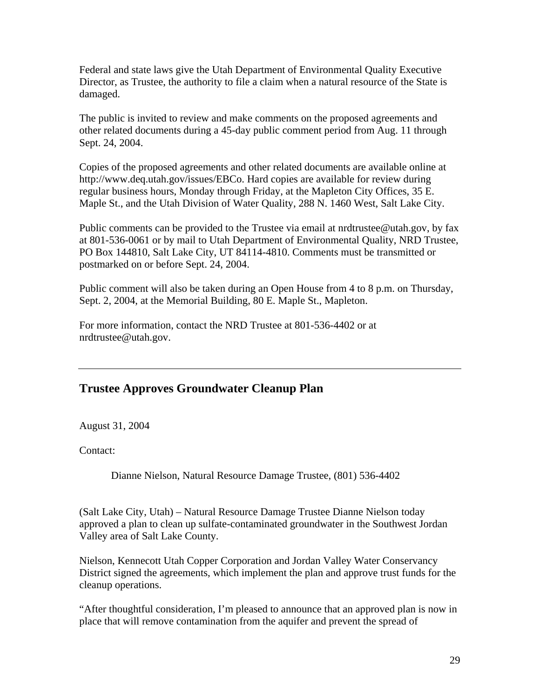Federal and state laws give the Utah Department of Environmental Quality Executive Director, as Trustee, the authority to file a claim when a natural resource of the State is damaged.

The public is invited to review and make comments on the proposed agreements and other related documents during a 45-day public comment period from Aug. 11 through Sept. 24, 2004.

Copies of the proposed agreements and other related documents are available online at http://www.deq.utah.gov/issues/EBCo. Hard copies are available for review during regular business hours, Monday through Friday, at the Mapleton City Offices, 35 E. Maple St., and the Utah Division of Water Quality, 288 N. 1460 West, Salt Lake City.

Public comments can be provided to the Trustee via email at nrdtrustee@utah.gov, by fax at 801-536-0061 or by mail to Utah Department of Environmental Quality, NRD Trustee, PO Box 144810, Salt Lake City, UT 84114-4810. Comments must be transmitted or postmarked on or before Sept. 24, 2004.

Public comment will also be taken during an Open House from 4 to 8 p.m. on Thursday, Sept. 2, 2004, at the Memorial Building, 80 E. Maple St., Mapleton.

For more information, contact the NRD Trustee at 801-536-4402 or at nrdtrustee@utah.gov.

# **Trustee Approves Groundwater Cleanup Plan**

August 31, 2004

Contact:

Dianne Nielson, Natural Resource Damage Trustee, (801) 536-4402

(Salt Lake City, Utah) – Natural Resource Damage Trustee Dianne Nielson today approved a plan to clean up sulfate-contaminated groundwater in the Southwest Jordan Valley area of Salt Lake County.

Nielson, Kennecott Utah Copper Corporation and Jordan Valley Water Conservancy District signed the agreements, which implement the plan and approve trust funds for the cleanup operations.

"After thoughtful consideration, I'm pleased to announce that an approved plan is now in place that will remove contamination from the aquifer and prevent the spread of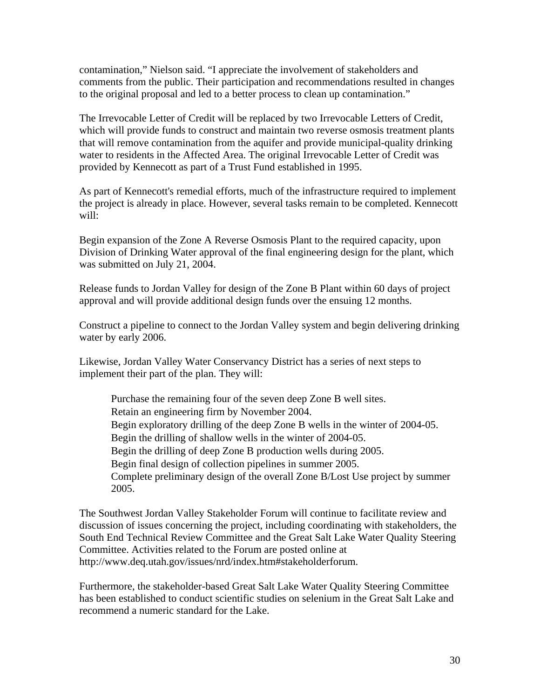contamination," Nielson said. "I appreciate the involvement of stakeholders and comments from the public. Their participation and recommendations resulted in changes to the original proposal and led to a better process to clean up contamination."

The Irrevocable Letter of Credit will be replaced by two Irrevocable Letters of Credit, which will provide funds to construct and maintain two reverse osmosis treatment plants that will remove contamination from the aquifer and provide municipal-quality drinking water to residents in the Affected Area. The original Irrevocable Letter of Credit was provided by Kennecott as part of a Trust Fund established in 1995.

As part of Kennecott's remedial efforts, much of the infrastructure required to implement the project is already in place. However, several tasks remain to be completed. Kennecott will:

Begin expansion of the Zone A Reverse Osmosis Plant to the required capacity, upon Division of Drinking Water approval of the final engineering design for the plant, which was submitted on July 21, 2004.

Release funds to Jordan Valley for design of the Zone B Plant within 60 days of project approval and will provide additional design funds over the ensuing 12 months.

Construct a pipeline to connect to the Jordan Valley system and begin delivering drinking water by early 2006.

Likewise, Jordan Valley Water Conservancy District has a series of next steps to implement their part of the plan. They will:

Purchase the remaining four of the seven deep Zone B well sites. Retain an engineering firm by November 2004. Begin exploratory drilling of the deep Zone B wells in the winter of 2004-05. Begin the drilling of shallow wells in the winter of 2004-05. Begin the drilling of deep Zone B production wells during 2005. Begin final design of collection pipelines in summer 2005. Complete preliminary design of the overall Zone B/Lost Use project by summer 2005.

The Southwest Jordan Valley Stakeholder Forum will continue to facilitate review and discussion of issues concerning the project, including coordinating with stakeholders, the South End Technical Review Committee and the Great Salt Lake Water Quality Steering Committee. Activities related to the Forum are posted online at http://www.deq.utah.gov/issues/nrd/index.htm#stakeholderforum.

Furthermore, the stakeholder-based Great Salt Lake Water Quality Steering Committee has been established to conduct scientific studies on selenium in the Great Salt Lake and recommend a numeric standard for the Lake.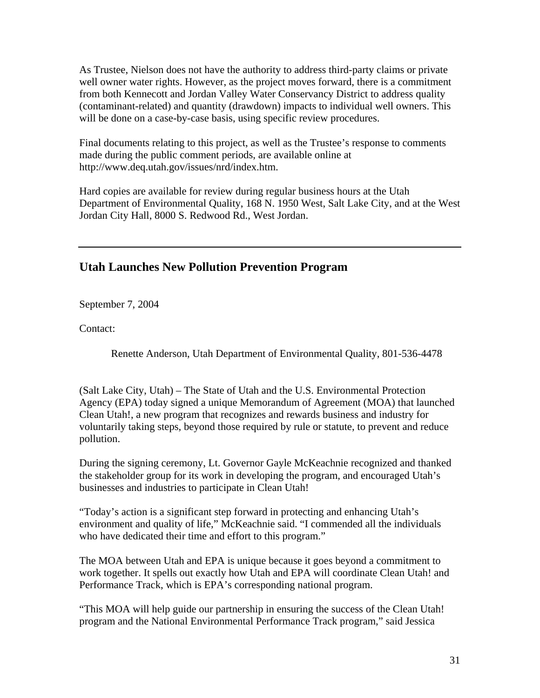As Trustee, Nielson does not have the authority to address third-party claims or private well owner water rights. However, as the project moves forward, there is a commitment from both Kennecott and Jordan Valley Water Conservancy District to address quality (contaminant-related) and quantity (drawdown) impacts to individual well owners. This will be done on a case-by-case basis, using specific review procedures.

Final documents relating to this project, as well as the Trustee's response to comments made during the public comment periods, are available online at http://www.deq.utah.gov/issues/nrd/index.htm.

Hard copies are available for review during regular business hours at the Utah Department of Environmental Quality, 168 N. 1950 West, Salt Lake City, and at the West Jordan City Hall, 8000 S. Redwood Rd., West Jordan.

#### **Utah Launches New Pollution Prevention Program**

September 7, 2004

Contact:

Renette Anderson, Utah Department of Environmental Quality, 801-536-4478

(Salt Lake City, Utah) – The State of Utah and the U.S. Environmental Protection Agency (EPA) today signed a unique Memorandum of Agreement (MOA) that launched Clean Utah!, a new program that recognizes and rewards business and industry for voluntarily taking steps, beyond those required by rule or statute, to prevent and reduce pollution.

During the signing ceremony, Lt. Governor Gayle McKeachnie recognized and thanked the stakeholder group for its work in developing the program, and encouraged Utah's businesses and industries to participate in Clean Utah!

"Today's action is a significant step forward in protecting and enhancing Utah's environment and quality of life," McKeachnie said. "I commended all the individuals who have dedicated their time and effort to this program."

The MOA between Utah and EPA is unique because it goes beyond a commitment to work together. It spells out exactly how Utah and EPA will coordinate Clean Utah! and Performance Track, which is EPA's corresponding national program.

"This MOA will help guide our partnership in ensuring the success of the Clean Utah! program and the National Environmental Performance Track program," said Jessica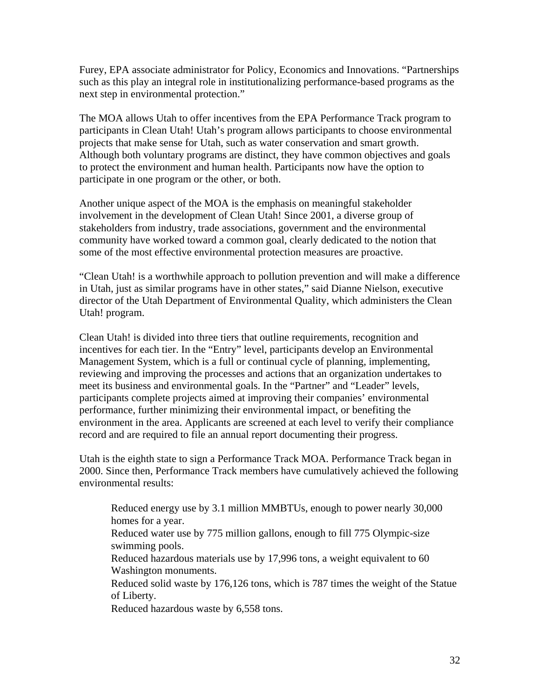Furey, EPA associate administrator for Policy, Economics and Innovations. "Partnerships such as this play an integral role in institutionalizing performance-based programs as the next step in environmental protection."

The MOA allows Utah to offer incentives from the EPA Performance Track program to participants in Clean Utah! Utah's program allows participants to choose environmental projects that make sense for Utah, such as water conservation and smart growth. Although both voluntary programs are distinct, they have common objectives and goals to protect the environment and human health. Participants now have the option to participate in one program or the other, or both.

Another unique aspect of the MOA is the emphasis on meaningful stakeholder involvement in the development of Clean Utah! Since 2001, a diverse group of stakeholders from industry, trade associations, government and the environmental community have worked toward a common goal, clearly dedicated to the notion that some of the most effective environmental protection measures are proactive.

"Clean Utah! is a worthwhile approach to pollution prevention and will make a difference in Utah, just as similar programs have in other states," said Dianne Nielson, executive director of the Utah Department of Environmental Quality, which administers the Clean Utah! program.

Clean Utah! is divided into three tiers that outline requirements, recognition and incentives for each tier. In the "Entry" level, participants develop an Environmental Management System, which is a full or continual cycle of planning, implementing, reviewing and improving the processes and actions that an organization undertakes to meet its business and environmental goals. In the "Partner" and "Leader" levels, participants complete projects aimed at improving their companies' environmental performance, further minimizing their environmental impact, or benefiting the environment in the area. Applicants are screened at each level to verify their compliance record and are required to file an annual report documenting their progress.

Utah is the eighth state to sign a Performance Track MOA. Performance Track began in 2000. Since then, Performance Track members have cumulatively achieved the following environmental results:

Reduced energy use by 3.1 million MMBTUs, enough to power nearly 30,000 homes for a year. Reduced water use by 775 million gallons, enough to fill 775 Olympic-size swimming pools. Reduced hazardous materials use by 17,996 tons, a weight equivalent to 60 Washington monuments. Reduced solid waste by 176,126 tons, which is 787 times the weight of the Statue

of Liberty.

Reduced hazardous waste by 6,558 tons.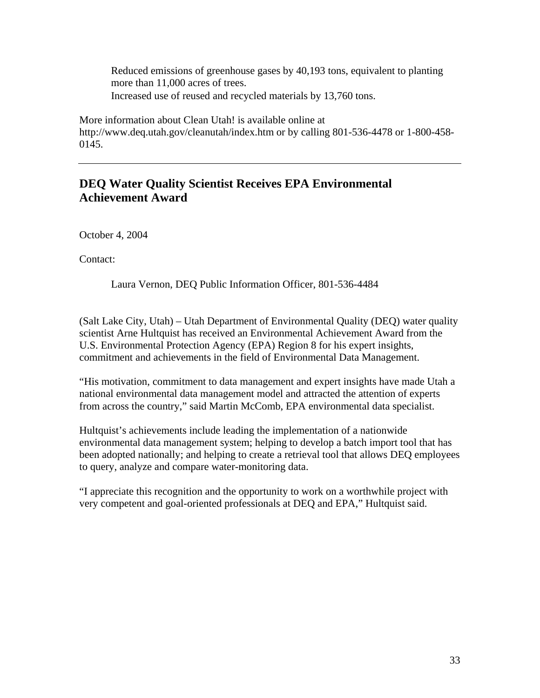Reduced emissions of greenhouse gases by 40,193 tons, equivalent to planting more than 11,000 acres of trees. Increased use of reused and recycled materials by 13,760 tons.

More information about Clean Utah! is available online at http://www.deq.utah.gov/cleanutah/index.htm or by calling 801-536-4478 or 1-800-458- 0145.

# **DEQ Water Quality Scientist Receives EPA Environmental Achievement Award**

October 4, 2004

Contact:

Laura Vernon, DEQ Public Information Officer, 801-536-4484

(Salt Lake City, Utah) – Utah Department of Environmental Quality (DEQ) water quality scientist Arne Hultquist has received an Environmental Achievement Award from the U.S. Environmental Protection Agency (EPA) Region 8 for his expert insights, commitment and achievements in the field of Environmental Data Management.

"His motivation, commitment to data management and expert insights have made Utah a national environmental data management model and attracted the attention of experts from across the country," said Martin McComb, EPA environmental data specialist.

Hultquist's achievements include leading the implementation of a nationwide environmental data management system; helping to develop a batch import tool that has been adopted nationally; and helping to create a retrieval tool that allows DEQ employees to query, analyze and compare water-monitoring data.

"I appreciate this recognition and the opportunity to work on a worthwhile project with very competent and goal-oriented professionals at DEQ and EPA," Hultquist said.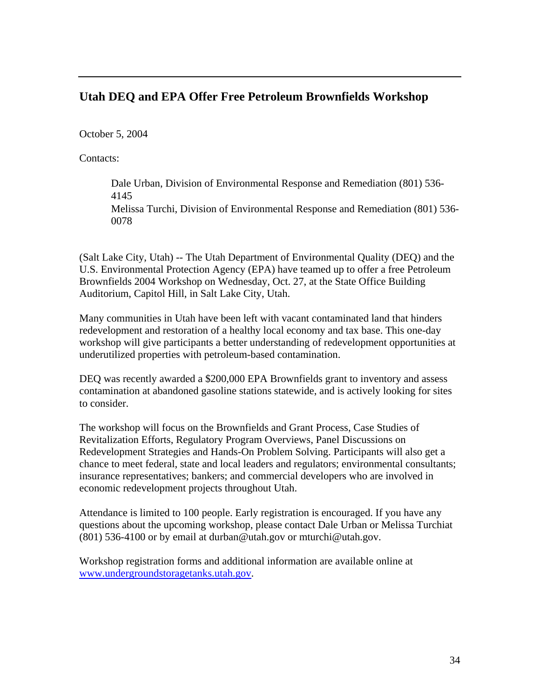## **Utah DEQ and EPA Offer Free Petroleum Brownfields Workshop**

October 5, 2004

Contacts:

Dale Urban, Division of Environmental Response and Remediation (801) 536- 4145 Melissa Turchi, Division of Environmental Response and Remediation (801) 536- 0078

(Salt Lake City, Utah) -- The Utah Department of Environmental Quality (DEQ) and the U.S. Environmental Protection Agency (EPA) have teamed up to offer a free Petroleum Brownfields 2004 Workshop on Wednesday, Oct. 27, at the State Office Building Auditorium, Capitol Hill, in Salt Lake City, Utah.

Many communities in Utah have been left with vacant contaminated land that hinders redevelopment and restoration of a healthy local economy and tax base. This one-day workshop will give participants a better understanding of redevelopment opportunities at underutilized properties with petroleum-based contamination.

DEQ was recently awarded a \$200,000 EPA Brownfields grant to inventory and assess contamination at abandoned gasoline stations statewide, and is actively looking for sites to consider.

The workshop will focus on the Brownfields and Grant Process, Case Studies of Revitalization Efforts, Regulatory Program Overviews, Panel Discussions on Redevelopment Strategies and Hands-On Problem Solving. Participants will also get a chance to meet federal, state and local leaders and regulators; environmental consultants; insurance representatives; bankers; and commercial developers who are involved in economic redevelopment projects throughout Utah.

Attendance is limited to 100 people. Early registration is encouraged. If you have any questions about the upcoming workshop, please contact Dale Urban or Melissa Turchiat (801) 536-4100 or by email at durban@utah.gov or mturchi@utah.gov.

Workshop registration forms and additional information are available online at www.undergroundstoragetanks.utah.gov.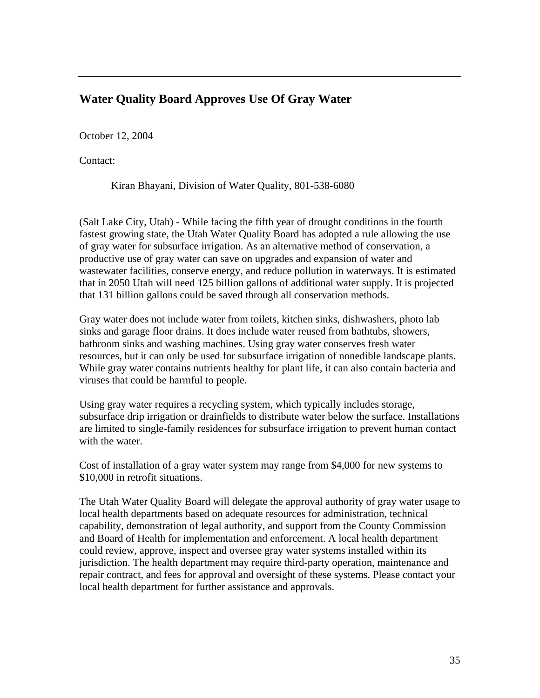# **Water Quality Board Approves Use Of Gray Water**

October 12, 2004

Contact:

Kiran Bhayani, Division of Water Quality, 801-538-6080

(Salt Lake City, Utah) - While facing the fifth year of drought conditions in the fourth fastest growing state, the Utah Water Quality Board has adopted a rule allowing the use of gray water for subsurface irrigation. As an alternative method of conservation, a productive use of gray water can save on upgrades and expansion of water and wastewater facilities, conserve energy, and reduce pollution in waterways. It is estimated that in 2050 Utah will need 125 billion gallons of additional water supply. It is projected that 131 billion gallons could be saved through all conservation methods.

Gray water does not include water from toilets, kitchen sinks, dishwashers, photo lab sinks and garage floor drains. It does include water reused from bathtubs, showers, bathroom sinks and washing machines. Using gray water conserves fresh water resources, but it can only be used for subsurface irrigation of nonedible landscape plants. While gray water contains nutrients healthy for plant life, it can also contain bacteria and viruses that could be harmful to people.

Using gray water requires a recycling system, which typically includes storage, subsurface drip irrigation or drainfields to distribute water below the surface. Installations are limited to single-family residences for subsurface irrigation to prevent human contact with the water.

Cost of installation of a gray water system may range from \$4,000 for new systems to \$10,000 in retrofit situations.

The Utah Water Quality Board will delegate the approval authority of gray water usage to local health departments based on adequate resources for administration, technical capability, demonstration of legal authority, and support from the County Commission and Board of Health for implementation and enforcement. A local health department could review, approve, inspect and oversee gray water systems installed within its jurisdiction. The health department may require third-party operation, maintenance and repair contract, and fees for approval and oversight of these systems. Please contact your local health department for further assistance and approvals.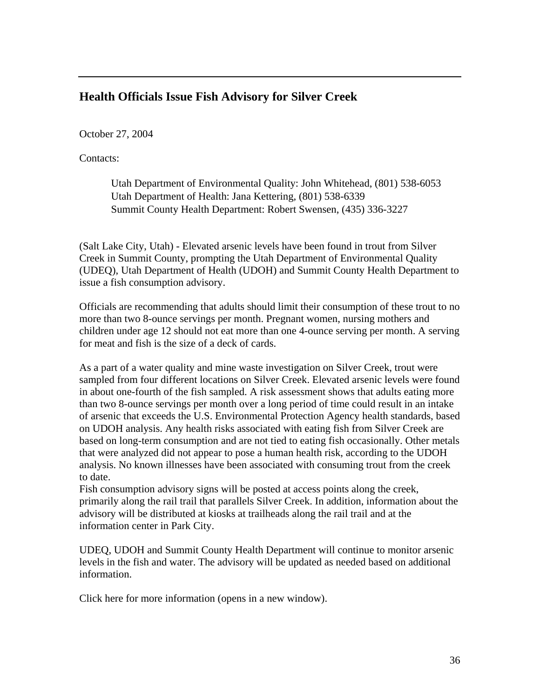### **Health Officials Issue Fish Advisory for Silver Creek**

October 27, 2004

Contacts:

Utah Department of Environmental Quality: John Whitehead, (801) 538-6053 Utah Department of Health: Jana Kettering, (801) 538-6339 Summit County Health Department: Robert Swensen, (435) 336-3227

(Salt Lake City, Utah) - Elevated arsenic levels have been found in trout from Silver Creek in Summit County, prompting the Utah Department of Environmental Quality (UDEQ), Utah Department of Health (UDOH) and Summit County Health Department to issue a fish consumption advisory.

Officials are recommending that adults should limit their consumption of these trout to no more than two 8-ounce servings per month. Pregnant women, nursing mothers and children under age 12 should not eat more than one 4-ounce serving per month. A serving for meat and fish is the size of a deck of cards.

As a part of a water quality and mine waste investigation on Silver Creek, trout were sampled from four different locations on Silver Creek. Elevated arsenic levels were found in about one-fourth of the fish sampled. A risk assessment shows that adults eating more than two 8-ounce servings per month over a long period of time could result in an intake of arsenic that exceeds the U.S. Environmental Protection Agency health standards, based on UDOH analysis. Any health risks associated with eating fish from Silver Creek are based on long-term consumption and are not tied to eating fish occasionally. Other metals that were analyzed did not appear to pose a human health risk, according to the UDOH analysis. No known illnesses have been associated with consuming trout from the creek to date.

Fish consumption advisory signs will be posted at access points along the creek, primarily along the rail trail that parallels Silver Creek. In addition, information about the advisory will be distributed at kiosks at trailheads along the rail trail and at the information center in Park City.

UDEQ, UDOH and Summit County Health Department will continue to monitor arsenic levels in the fish and water. The advisory will be updated as needed based on additional information.

Click here for more information (opens in a new window).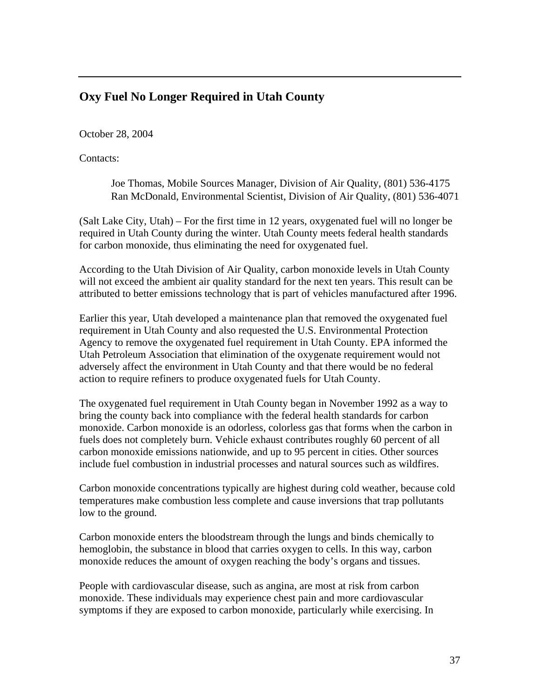## **Oxy Fuel No Longer Required in Utah County**

October 28, 2004

Contacts:

Joe Thomas, Mobile Sources Manager, Division of Air Quality, (801) 536-4175 Ran McDonald, Environmental Scientist, Division of Air Quality, (801) 536-4071

(Salt Lake City, Utah) – For the first time in 12 years, oxygenated fuel will no longer be required in Utah County during the winter. Utah County meets federal health standards for carbon monoxide, thus eliminating the need for oxygenated fuel.

According to the Utah Division of Air Quality, carbon monoxide levels in Utah County will not exceed the ambient air quality standard for the next ten years. This result can be attributed to better emissions technology that is part of vehicles manufactured after 1996.

Earlier this year, Utah developed a maintenance plan that removed the oxygenated fuel requirement in Utah County and also requested the U.S. Environmental Protection Agency to remove the oxygenated fuel requirement in Utah County. EPA informed the Utah Petroleum Association that elimination of the oxygenate requirement would not adversely affect the environment in Utah County and that there would be no federal action to require refiners to produce oxygenated fuels for Utah County.

The oxygenated fuel requirement in Utah County began in November 1992 as a way to bring the county back into compliance with the federal health standards for carbon monoxide. Carbon monoxide is an odorless, colorless gas that forms when the carbon in fuels does not completely burn. Vehicle exhaust contributes roughly 60 percent of all carbon monoxide emissions nationwide, and up to 95 percent in cities. Other sources include fuel combustion in industrial processes and natural sources such as wildfires.

Carbon monoxide concentrations typically are highest during cold weather, because cold temperatures make combustion less complete and cause inversions that trap pollutants low to the ground.

Carbon monoxide enters the bloodstream through the lungs and binds chemically to hemoglobin, the substance in blood that carries oxygen to cells. In this way, carbon monoxide reduces the amount of oxygen reaching the body's organs and tissues.

People with cardiovascular disease, such as angina, are most at risk from carbon monoxide. These individuals may experience chest pain and more cardiovascular symptoms if they are exposed to carbon monoxide, particularly while exercising. In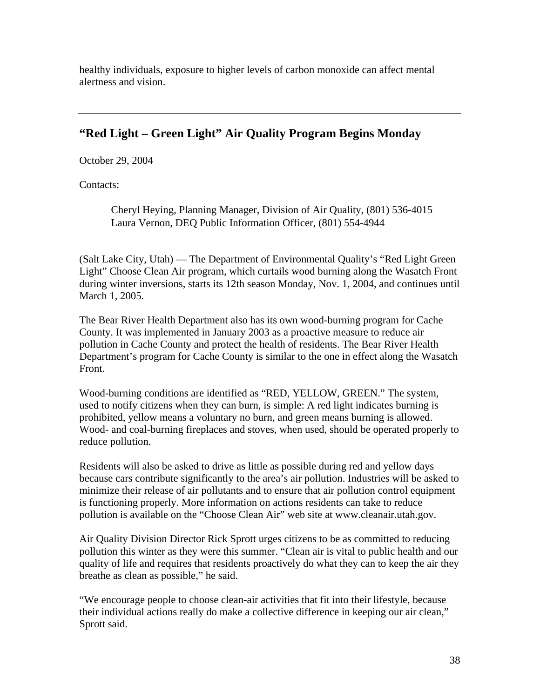healthy individuals, exposure to higher levels of carbon monoxide can affect mental alertness and vision.

# **"Red Light – Green Light" Air Quality Program Begins Monday**

October 29, 2004

Contacts:

Cheryl Heying, Planning Manager, Division of Air Quality, (801) 536-4015 Laura Vernon, DEQ Public Information Officer, (801) 554-4944

(Salt Lake City, Utah) — The Department of Environmental Quality's "Red Light Green Light" Choose Clean Air program, which curtails wood burning along the Wasatch Front during winter inversions, starts its 12th season Monday, Nov. 1, 2004, and continues until March 1, 2005.

The Bear River Health Department also has its own wood-burning program for Cache County. It was implemented in January 2003 as a proactive measure to reduce air pollution in Cache County and protect the health of residents. The Bear River Health Department's program for Cache County is similar to the one in effect along the Wasatch Front.

Wood-burning conditions are identified as "RED, YELLOW, GREEN." The system, used to notify citizens when they can burn, is simple: A red light indicates burning is prohibited, yellow means a voluntary no burn, and green means burning is allowed. Wood- and coal-burning fireplaces and stoves, when used, should be operated properly to reduce pollution.

Residents will also be asked to drive as little as possible during red and yellow days because cars contribute significantly to the area's air pollution. Industries will be asked to minimize their release of air pollutants and to ensure that air pollution control equipment is functioning properly. More information on actions residents can take to reduce pollution is available on the "Choose Clean Air" web site at www.cleanair.utah.gov.

Air Quality Division Director Rick Sprott urges citizens to be as committed to reducing pollution this winter as they were this summer. "Clean air is vital to public health and our quality of life and requires that residents proactively do what they can to keep the air they breathe as clean as possible," he said.

"We encourage people to choose clean-air activities that fit into their lifestyle, because their individual actions really do make a collective difference in keeping our air clean," Sprott said.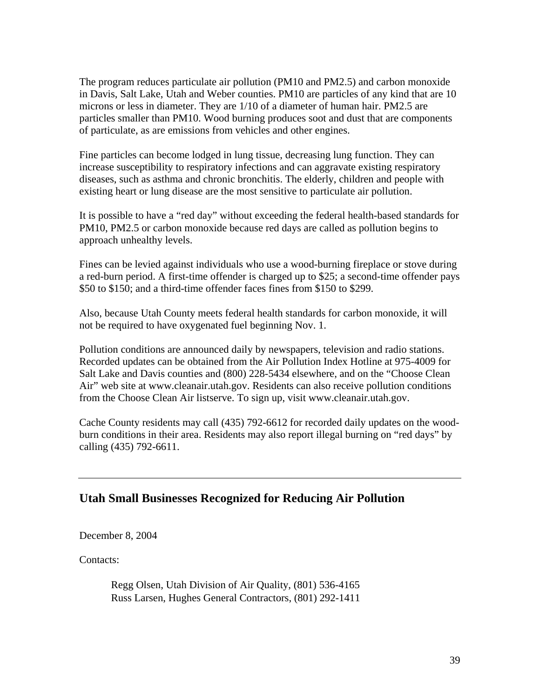The program reduces particulate air pollution (PM10 and PM2.5) and carbon monoxide in Davis, Salt Lake, Utah and Weber counties. PM10 are particles of any kind that are 10 microns or less in diameter. They are 1/10 of a diameter of human hair. PM2.5 are particles smaller than PM10. Wood burning produces soot and dust that are components of particulate, as are emissions from vehicles and other engines.

Fine particles can become lodged in lung tissue, decreasing lung function. They can increase susceptibility to respiratory infections and can aggravate existing respiratory diseases, such as asthma and chronic bronchitis. The elderly, children and people with existing heart or lung disease are the most sensitive to particulate air pollution.

It is possible to have a "red day" without exceeding the federal health-based standards for PM10, PM2.5 or carbon monoxide because red days are called as pollution begins to approach unhealthy levels.

Fines can be levied against individuals who use a wood-burning fireplace or stove during a red-burn period. A first-time offender is charged up to \$25; a second-time offender pays \$50 to \$150; and a third-time offender faces fines from \$150 to \$299.

Also, because Utah County meets federal health standards for carbon monoxide, it will not be required to have oxygenated fuel beginning Nov. 1.

Pollution conditions are announced daily by newspapers, television and radio stations. Recorded updates can be obtained from the Air Pollution Index Hotline at 975-4009 for Salt Lake and Davis counties and (800) 228-5434 elsewhere, and on the "Choose Clean Air" web site at www.cleanair.utah.gov. Residents can also receive pollution conditions from the Choose Clean Air listserve. To sign up, visit www.cleanair.utah.gov.

Cache County residents may call (435) 792-6612 for recorded daily updates on the woodburn conditions in their area. Residents may also report illegal burning on "red days" by calling (435) 792-6611.

#### **Utah Small Businesses Recognized for Reducing Air Pollution**

December 8, 2004

Contacts:

Regg Olsen, Utah Division of Air Quality, (801) 536-4165 Russ Larsen, Hughes General Contractors, (801) 292-1411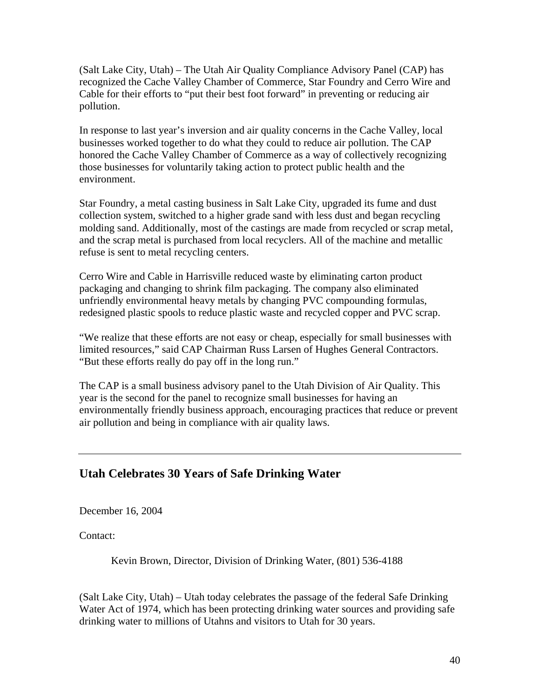(Salt Lake City, Utah) – The Utah Air Quality Compliance Advisory Panel (CAP) has recognized the Cache Valley Chamber of Commerce, Star Foundry and Cerro Wire and Cable for their efforts to "put their best foot forward" in preventing or reducing air pollution.

In response to last year's inversion and air quality concerns in the Cache Valley, local businesses worked together to do what they could to reduce air pollution. The CAP honored the Cache Valley Chamber of Commerce as a way of collectively recognizing those businesses for voluntarily taking action to protect public health and the environment.

Star Foundry, a metal casting business in Salt Lake City, upgraded its fume and dust collection system, switched to a higher grade sand with less dust and began recycling molding sand. Additionally, most of the castings are made from recycled or scrap metal, and the scrap metal is purchased from local recyclers. All of the machine and metallic refuse is sent to metal recycling centers.

Cerro Wire and Cable in Harrisville reduced waste by eliminating carton product packaging and changing to shrink film packaging. The company also eliminated unfriendly environmental heavy metals by changing PVC compounding formulas, redesigned plastic spools to reduce plastic waste and recycled copper and PVC scrap.

"We realize that these efforts are not easy or cheap, especially for small businesses with limited resources," said CAP Chairman Russ Larsen of Hughes General Contractors. "But these efforts really do pay off in the long run."

The CAP is a small business advisory panel to the Utah Division of Air Quality. This year is the second for the panel to recognize small businesses for having an environmentally friendly business approach, encouraging practices that reduce or prevent air pollution and being in compliance with air quality laws.

### **Utah Celebrates 30 Years of Safe Drinking Water**

December 16, 2004

Contact:

Kevin Brown, Director, Division of Drinking Water, (801) 536-4188

(Salt Lake City, Utah) – Utah today celebrates the passage of the federal Safe Drinking Water Act of 1974, which has been protecting drinking water sources and providing safe drinking water to millions of Utahns and visitors to Utah for 30 years.